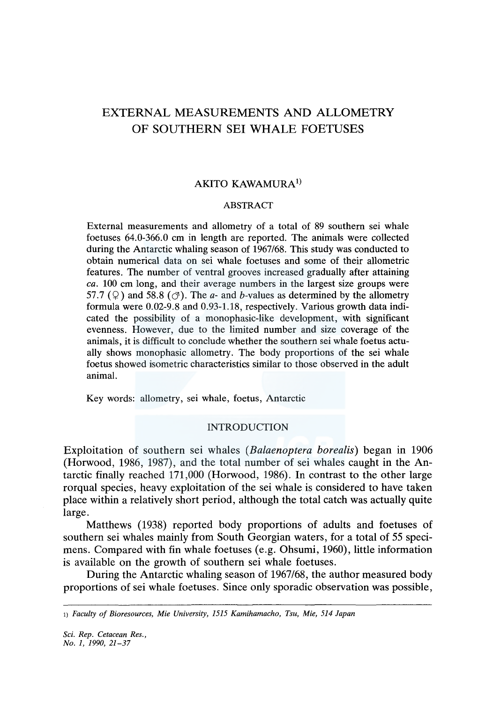# EXTERNAL MEASUREMENTS AND ALLOMETRY OF SOUTHERN SEI WHALE FOETUSES

# AKITO KAWAMURA<sup>1)</sup>

## ABSTRACT

External measurements and allometry of a total of 89 southern sei whale foetuses 64.0-366.0 cm in length are reported. The animals were collected during the Antarctic whaling season of 1967/68. This study was conducted to obtain numerical data on sei whale foetuses and some of their allometric features. The number of ventral grooves increased gradually after attaining *ea.* 100 cm long, and their average numbers in the largest size groups were 57.7 ( $\circ$ ) and 58.8 ( $\circ$ ). The *a*- and *b*-values as determined by the allometry formula were 0.02-9.8 and 0.93-1.18, respectively. Various growth data indicated the possibility of a monophasic-like development, with significant evenness. However, due to the limited number and size coverage of the animals, it is difficult to conclude whether the southern sei whale foetus actually shows monophasic allometry. The body proportions of the sei whale foetus showed isometric characteristics similar to those observed in the adult animal.

Key words: allometry, sei whale, foetus, Antarctic

## INTRODUCTION

Exploitation of southern sei whales *(Balaenoptera borealis)* began in 1906 (Horwood, 1986, 1987), and the total number of sei whales caught in the Antarctic finally reached 171,000 (Horwood, 1986). In contrast to the other large rorqual species, heavy exploitation of the sei whale is considered to have taken place within a relatively short period, although the total catch was actually quite large.

Matthews (1938) reported body proportions of adults and foetuses of southern sei whales mainly from South Georgian waters, for a total of 55 specimens. Compared with fin whale foetuses (e.g. Ohsumi, 1960), little information is available on the growth of southern sei whale foetuses.

During the Antarctic whaling season of 1967/68, the author measured body proportions of sei whale foetuses. Since only sporadic observation was possible,

<sup>1)</sup> *Faculty of Bioresources, Mie University, 1515 Kamihamacho, Tsu, Mie, 514 Japan*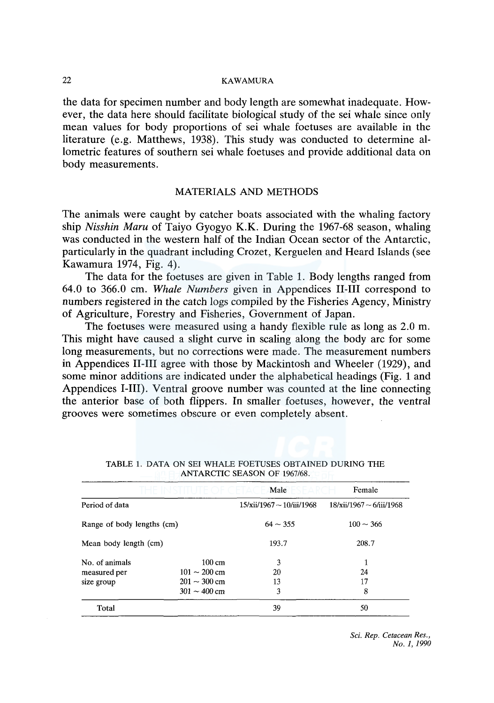# 22 KAWAMURA

the data for specimen number and body length are somewhat inadequate. However, the data here should facilitate biological study of the sei whale since only mean values for body proportions of sei whale foetuses are available in the literature (e.g. Matthews, 1938). This study was conducted to determine allometric features of southern sei whale foetuses and provide additional data on body measurements.

## MATERIALS AND METHODS

The animals were caught by catcher boats associated with the whaling factory ship *Nisshin Maru* of Taiyo Gyogyo K.K. During the 1967-68 season, whaling was conducted in the western half of the Indian Ocean sector of the Antarctic, particularly in the quadrant including Crozet, Kerguelen and Heard Islands (see Kawamura 1974, Fig. 4).

The data for the foetuses are given in Table 1. Body lengths ranged from 64.0 to 366.0 cm. *Whale Numbers* given in Appendices II-Ill correspond to numbers registered in the catch logs compiled by the Fisheries Agency, Ministry of Agriculture, Forestry and Fisheries, Government of Japan.

The foetuses were measured using a handy flexible rule as long as 2.0 m. This might have caused a slight curve in scaling along the body arc for some long measurements, but no corrections were made. The measurement numbers in Appendices II-Ill agree with those by Mackintosh and Wheeler (1929), and some minor additions are indicated under the alphabetical headings (Fig. 1 and Appendices I-III). Ventral groove number was counted at the line connecting the anterior base of both flippers. In smaller foetuses, however, the ventral grooves were sometimes obscure or even completely absent.

|                            |                           | Male                           | Female                        |
|----------------------------|---------------------------|--------------------------------|-------------------------------|
| Period of data             |                           | $15/xii/1967 \sim 10/iii/1968$ | $18/xii/1967 \sim 6/iii/1968$ |
| Range of body lengths (cm) |                           | $64 \sim 355$                  | $100 \sim 366$                |
| Mean body length (cm)      |                           | 193.7                          | 208.7                         |
| No. of animals             | $100 \text{ cm}$          | 3                              |                               |
| measured per               | $101 \sim 200 \text{ cm}$ | 20                             | 24                            |
| size group                 | $201 \sim 300$ cm         | 13                             | 17                            |
|                            | $301 - 400$ cm            | 3                              | 8                             |
| Total                      |                           | 39                             | 50                            |

|  |  |                              | TABLE 1. DATA ON SEI WHALE FOETUSES OBTAINED DURING THE |  |
|--|--|------------------------------|---------------------------------------------------------|--|
|  |  | ANTARCTIC SEASON OF 1967/68. |                                                         |  |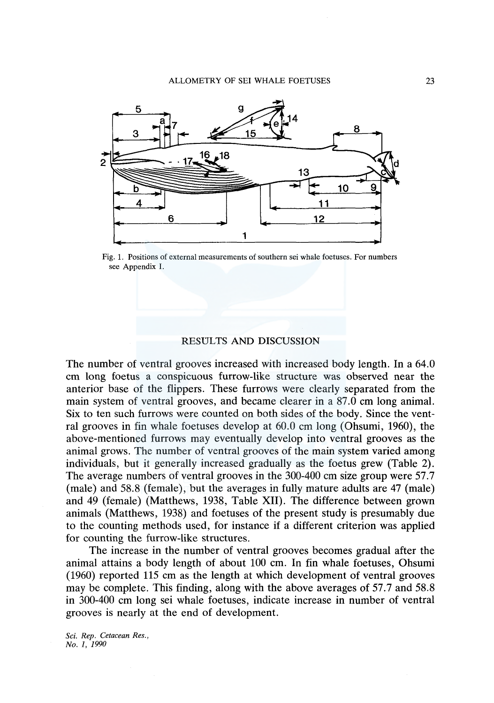

Fig. 1. Positions of external measurements of southern sei whale foetuses. For numbers see Appendix I.

## RESULTS AND DISCUSSION

The number of ventral grooves increased with increased body length. In a 64.0 cm long foetus a conspicuous furrow-like structure was observed near the anterior base of the flippers. These furrows were clearly separated from the main system of ventral grooves, and became clearer in a 87.0 cm long animal. Six to ten such furrows were counted on both sides of the body. Since the ventral grooves in fin whale foetuses develop at 60.0 cm long (Ohsumi, 1960), the above-mentioned furrows may eventually develop into ventral grooves as the animal grows. The number of ventral grooves of the main system varied among individuals, but it generally increased gradually as the foetus grew (Table 2). The average numbers of ventral grooves in the 300-400 cm size group were 57.7 (male) and 58.8 (female), but the averages in fully mature adults are 47 (male) and 49 (female) (Matthews, 1938, Table XII). The difference between grown animals (Matthews, 1938) and foetuses of the present study is presumably due to the counting methods used, for instance if a different criterion was applied for counting the furrow-like structures.

The increase in the number of ventral grooves becomes gradual after the animal attains a body length of about 100 cm. In fin whale foetuses, Ohsumi (1960) reported 115 cm as the length at which development of ventral grooves may be complete. This finding, along with the above averages of 57.7 and 58.8 in 300-400 cm long sei whale foetuses, indicate increase in number of ventral grooves is nearly at the end of development.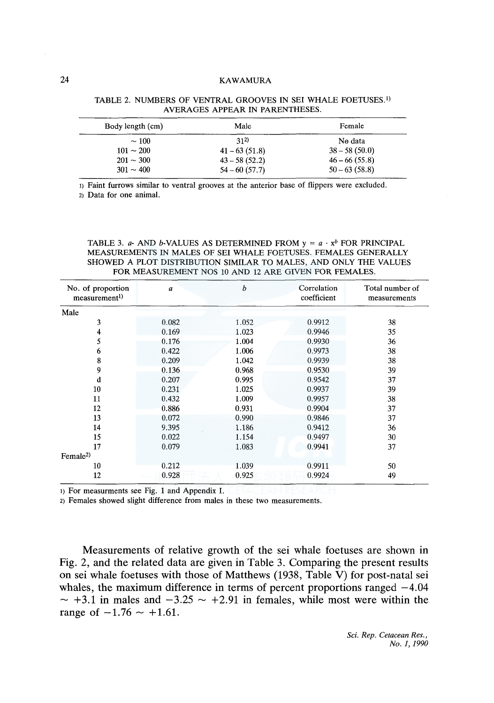# 24 KAWAMURA

| Body length (cm) | Male            | Female          |
|------------------|-----------------|-----------------|
| $\sim$ 100       | 312)            | No data         |
| $101 \sim 200$   | $41 - 63(51.8)$ | $38 - 58(50.0)$ |
| $201 \sim 300$   | $43 - 58(52.2)$ | $46 - 66(55.8)$ |
| $301 \sim 400$   | $54 - 60(57.7)$ | $50 - 63(58.8)$ |

TABLE 2. NUMBERS OF VENTRAL GROOVES IN SEI WHALE FOETUSES.<sup>1)</sup> AVERAGES APPEAR IN PARENTHESES.

I) Faint furrows similar to ventral grooves at the anterior base of flippers were excluded.

2) Data for one animal.

TABLE 3. *a*- AND *b*-VALUES AS DETERMINED FROM  $y = a \cdot x^b$  FOR PRINCIPAL MEASUREMENTS IN MALES OF SEI WHALE FOETUSES. FEMALES GENERALLY SHOWED A PLOT DISTRIBUTION SIMILAR TO MALES, AND ONLY THE VALUES FOR MEASUREMENT NOS 10 AND 12 ARE GIVEN FOR FEMALES.

| No. of proportion<br>measurement <sup>1</sup> | a     | b     | Correlation<br>coefficient | Total number of<br>measurements |
|-----------------------------------------------|-------|-------|----------------------------|---------------------------------|
| Male                                          |       |       |                            |                                 |
| 3                                             | 0.082 | 1.052 | 0.9912                     | 38                              |
| 4                                             | 0.169 | 1.023 | 0.9946                     | 35                              |
| 5                                             | 0.176 | 1.004 | 0.9930                     | 36                              |
| 6                                             | 0.422 | 1.006 | 0.9973                     | 38                              |
| 8                                             | 0.209 | 1.042 | 0.9939                     | 38                              |
| 9                                             | 0.136 | 0.968 | 0.9530                     | 39                              |
| d                                             | 0.207 | 0.995 | 0.9542                     | 37                              |
| 10                                            | 0.231 | 1.025 | 0.9937                     | 39                              |
| 11                                            | 0.432 | 1.009 | 0.9957                     | 38                              |
| 12                                            | 0.886 | 0.931 | 0.9904                     | 37                              |
| 13                                            | 0.072 | 0.990 | 0.9846                     | 37                              |
| 14                                            | 9.395 | 1.186 | 0.9412                     | 36                              |
| 15                                            | 0.022 | 1.154 | 0.9497                     | 30                              |
| 17                                            | 0.079 | 1.083 | 0.9941                     | 37                              |
| Female <sup>2)</sup>                          |       |       |                            |                                 |
| 10                                            | 0.212 | 1.039 | 0.9911                     | 50                              |
| 12                                            | 0.928 | 0.925 | 0.9924                     | 49                              |

1) For measurments see Fig. 1 and Appendix I. CETACEAN RESEARCH

2) Females showed slight difference from males in these two measurements.

Measurements of relative growth of the sei whale foetuses are shown in Fig. 2, and the related data are given in Table 3. Comparing the present results on sei whale foetuses with those of Matthews (1938, Table V) for post-natal sei whales, the maximum difference in terms of percent proportions ranged  $-4.04$  $\sim$  +3.1 in males and  $-3.25 \sim$  +2.91 in females, while most were within the range of  $-1.76 \sim +1.61$ .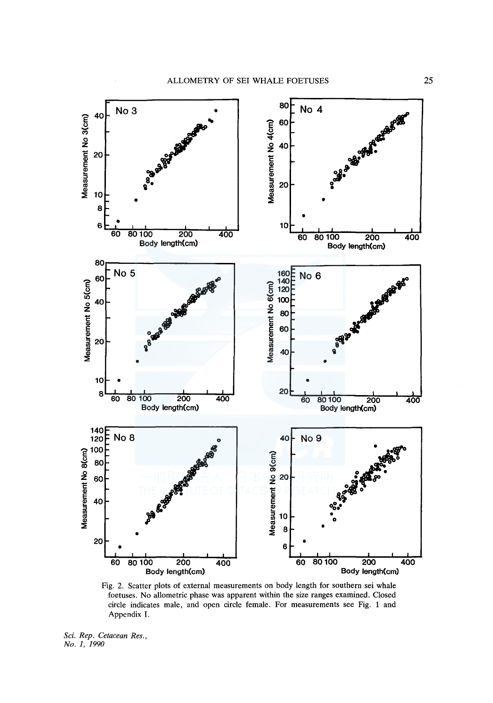

Fig. 2. Scatter plots of external measurements on body length for southern sei whale foetuses. No allometric phase was apparent within the size ranges examined. Closed circle indicates male, and open circle female. For measurements see Fig. 1 and Appendix I.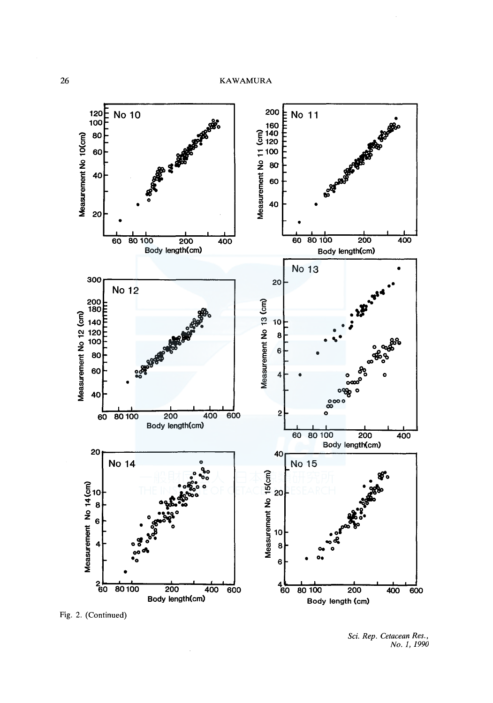

Fig. 2. (Continued)

*Sci. Rep. Cetacean Res., No. 1, 1990*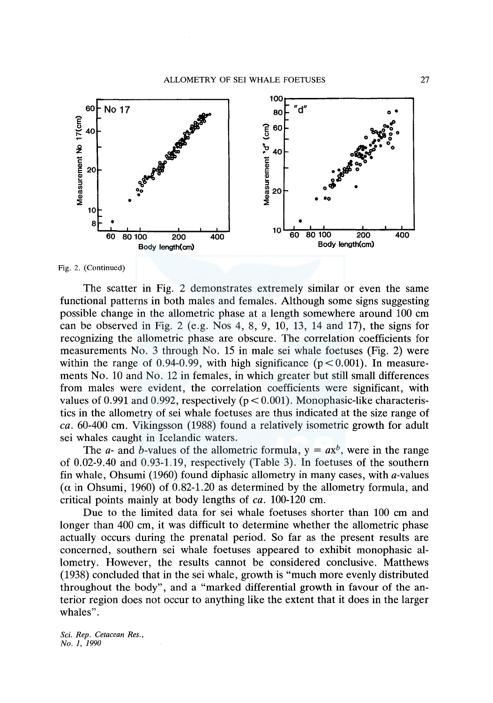

Fig. 2. (Continued)

The scatter in Fig. 2 demonstrates extremely similar or even the same functional patterns in both males and females. Although some signs suggesting possible change in the allometric phase at a length somewhere around 100 cm can be observed in Fig. 2 (e.g. Nos 4, 8, 9, 10, 13, 14 and 17), the signs for recognizing the allometric phase are obscure. The correlation coefficients for measurements No. 3 through No. 15 in male sei whale foetuses (Fig. 2) were within the range of 0.94-0.99, with high significance ( $p < 0.001$ ). In measurements No. 10 and No. 12 in females, in which greater but still small differences from males were evident, the correlation coefficients were significant, with values of 0.991 and 0.992, respectively ( $p < 0.001$ ). Monophasic-like characteristics in the allometry of sei whale foetuses are thus indicated at the size range of *ea.* 60-400 cm. Vikingsson (1988) found a relatively isometric growth for adult sei whales caught in Icelandic waters.

The *a*- and *b*-values of the allometric formula,  $y = ax^b$ , were in the range of 0.02-9.40 and 0.93-1.19, respectively (Table 3). In foetuses of the southern fin whale, Ohsumi (1960) found diphasic allometry in many cases, with a-values  $(\alpha$  in Ohsumi, 1960) of 0.82-1.20 as determined by the allometry formula, and critical points mainly at body lengths of *ea.* 100-120 cm.

Due to the limited data for sei whale foetuses shorter than 100 cm and longer than 400 cm, it was difficult to determine whether the allometric phase actually occurs during the prenatal period. So far as the present results are concerned, southern sei whale foetuses appeared to exhibit monophasic allometry. However, the results cannot be considered conclusive. Matthews (1938) concluded that in the sei whale, growth is "much more evenly distributed throughout the body", and a "marked differential growth in favour of the anterior region does not occur to anything like the extent that it does in the larger whales".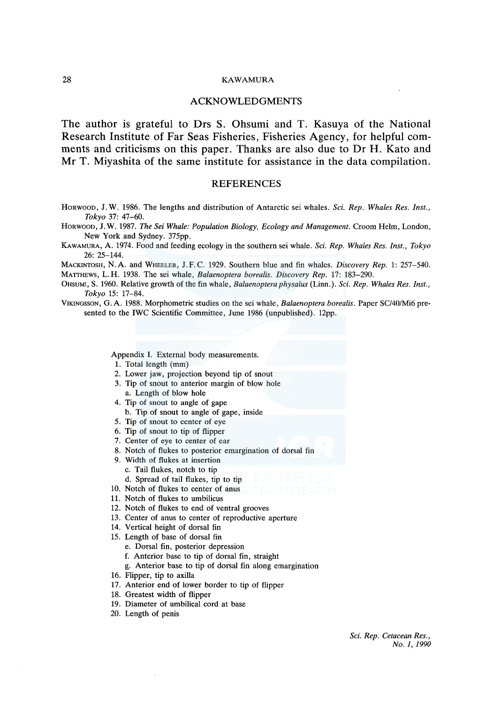#### 28 KAWAMURA

#### ACKNOWLEDGMENTS

The author is grateful to Drs S. Ohsumi and T. Kasuya of the National Research Institute of Far Seas Fisheries, Fisheries Agency, for helpful comments and criticisms on this paper. Thanks are also due to Dr H. Kato and Mr T. Miyashita of the same institute for assistance in the data compilation.

#### **REFERENCES**

HORWOOD, J. W. 1986. The lengths and distribution of Antarctic sei whales. *Sci. Rep. Whales Res. Inst., Tokyo* 37: 47-60.

HORWOOD, J. W. 1987. *The Sei Whale: Population Biology, Ecology and Management.* Croom Helm, London, New York and Sydney. 375pp.

KAWAMURA, A. 1974. Food and feeding ecology in the southern sei whale. *Sci. Rep. Whales Res. Inst., Tokyo*  26: 25-144.

MACKINTOSH, N.A. and WHEELER, J.F.C. 1929. Southern blue and fin whales. *Discovery Rep.* 1: 257-540.

MATTHEWS, L. H. 1938. The sei whale, *Balaenoptera borealis. Discovery Rep.* 17: 183-290.

0HSUMI, S. 1960. Relative growth of the fin whale, *Balaenoptera physalus* (Linn.). *Sci. Rep. Whales Res. Inst., Tokyo* 15: 17-84.

VIKINGSSON, G. A. 1988. Morphometric studies on the sei whale, *Balaenoptera borealis.* Paper SC/40/Mi6 presented to the IWC Scientific Committee, June 1986 (unpublished). 12pp.

Appendix I. External body measurements.

- 1. Total length (mm)
- 2. Lower jaw, projection beyond tip of snout
- 3. Tip of snout to anterior margin of blow hole
- a. Length of blow hole
- 4. Tip of snout to angle of gape
	- b. Tip of snout to angle of gape, inside
- 5. Tip of snout to center of eye
- 6. Tip of snout to tip of flipper
- 7. Center of eye to center of ear
- 8. Notch of flukes to posterior emargination of dorsal fin
- 9. Width of flukes at insertion
	- c. Tail flukes, notch to tip
	- d. Spread of tail flukes, tip to tip
- 10. Notch of flukes to center of anus
- 11. Notch of flukes to umbilicus
- 12. Notch of flukes to end of ventral grooves
- 13. Center of anus to center of reproductive aperture
- 14. Vertical height of dorsal fin
- 15. Length of base of dorsal fin
	- e. Dorsal fin, posterior depression
	- f. Anterior base to tip of dorsal fin, straight
	- g. Anterior base to tip of dorsal fin along emargination
- 16. Flipper, tip to axilla
- 17. Anterior end of lower border to tip of flipper
- 18. Greatest width of flipper
- 19. Diameter of umbilical cord at base
- 20. Length of penis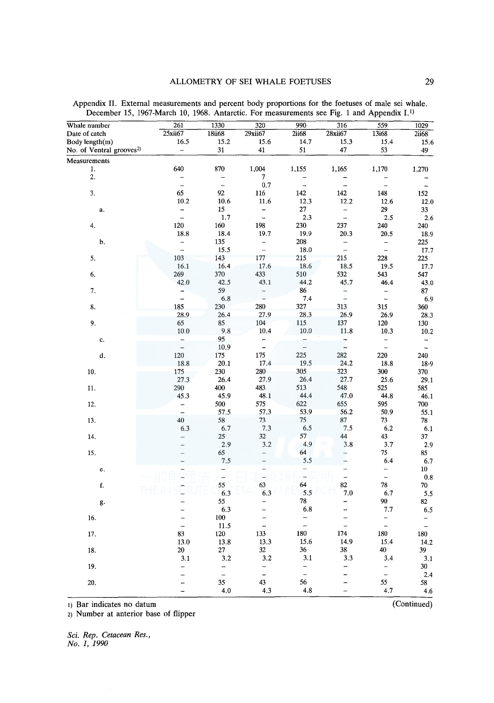| Whale number                         | 261                      | 1330           | 320                      | 990                      | 316                      | 559                            | 1029                     |
|--------------------------------------|--------------------------|----------------|--------------------------|--------------------------|--------------------------|--------------------------------|--------------------------|
| Date of catch                        | 25xii67                  | 18ii68         | 29xii67                  | 2ii68                    | 28xii67                  | 13i68                          | 2ii68                    |
| Body length(m)                       | 16.5                     | 15.2           | 15.6                     | 14.7                     | 15.3                     | 15.4                           | 15.6                     |
| No. of Ventral grooves <sup>2)</sup> | $\overline{\phantom{a}}$ | 31             | 41                       | 51                       | 47                       | 53                             | 49                       |
| Measurements                         |                          |                |                          |                          |                          |                                |                          |
| 1.                                   | 640                      | 870            | 1,004                    | 1,155                    | 1,165                    | 1,170                          | 1,270                    |
| 2.                                   |                          |                | 7                        |                          |                          |                                |                          |
|                                      | $\overline{a}$           | $\overline{a}$ | 0.7                      | $\overline{\phantom{a}}$ |                          |                                | $\overline{\phantom{a}}$ |
| 3.                                   | 65                       | 92             | 116                      | 142                      | 142                      | 148                            | 152                      |
|                                      | 10.2                     | 10.6           | 11.6                     | 12.3                     | 12.2                     | 12.6                           | 12.0                     |
| $\mathbf a$ .                        |                          | 15             |                          | 27                       |                          | 29                             | 33                       |
|                                      | $\frac{1}{2}$            | 1.7            | $\overline{a}$           | 2.3                      | $\frac{1}{2}$            | 2.5                            | 2.6                      |
| 4.                                   | 120                      | 160            | 198                      | 230                      | 237                      | 240                            | 240                      |
|                                      | 18.8                     | 18.4           | 19.7                     | 19.9                     | 20.3                     | 20.5                           | 18.9                     |
| b.                                   |                          | 135            | $\qquad \qquad -$        | 208                      | $\rightarrow$            |                                | 225                      |
|                                      | $\frac{1}{2}$            | 15.5           | $\frac{1}{2}$            | 18.0                     | $\overline{a}$           | <sup>-</sup><br>$\overline{a}$ | 17.7                     |
| 5.                                   | 103                      | 143            | 177                      | 215                      | 215                      | 228                            | 225                      |
|                                      |                          | 16.4           | 17.6                     | 18.6                     | 18.5                     |                                |                          |
|                                      | 16.1                     |                |                          |                          |                          | 19.5                           | 17.7                     |
| 6.                                   | 269                      | 370            | 433                      | 510                      | 532                      | 543                            | 547                      |
|                                      | 42.0                     | 42.5           | 43.1                     | 44.2                     | 45.7                     | 46.4                           | 43.0                     |
| 7.                                   | $\frac{1}{2}$            | 59             | $\frac{1}{1}$            | 86                       | ţ                        | $\qquad \qquad -$              | 87                       |
|                                      |                          | 6.8            |                          | 7.4                      |                          | $\overline{a}$                 | 6.9                      |
| 8.                                   | 185                      | 230            | 280                      | 327                      | 313                      | 315                            | 360                      |
|                                      | 28.9                     | 26.4           | 27.9                     | 28.3                     | 26.9                     | 26.9                           | 28.3                     |
| 9.                                   | 65                       | 85             | 104                      | 115                      | 137                      | 120                            | 130                      |
|                                      | $10.0\,$                 | 9.8            | 10.4                     | 10.0                     | 11.8                     | 10.3                           | $10.2\,$                 |
| c.                                   |                          | 95             |                          |                          |                          |                                |                          |
|                                      | $\frac{1}{2}$            | 10.9           | $\overline{\phantom{a}}$ | $\frac{1}{2}$            | $\overline{\phantom{a}}$ | $\overline{\phantom{a}}$       | $\overline{a}$           |
| d.                                   | 120                      | 175            | 175                      | 225                      | 282                      | 220                            | 240                      |
|                                      | 18.8                     | 20.1           | 17.4                     | 19.5                     | 24.2                     | 18.8                           | 18.9                     |
| 10.                                  | 175                      | 230            | 280                      | 305                      | 323                      | 300                            | 370                      |
|                                      | 27.3                     | 26.4           | 27.9                     | 26.4                     | 27.7                     | 25.6                           | 29.1                     |
| 11.                                  | 290                      | 400            | 483                      | 513                      | 548                      | 525                            | 585                      |
|                                      | 45.3                     | 45.9           | 48.1                     | 44.4                     | 47.0                     | 44.8                           | 46.1                     |
| 12.                                  | -                        | 500            | 575                      | 622                      | 655                      | 595                            | 700                      |
|                                      | $\overline{a}$           | 57.5           | 57.3                     | 53.9                     | 56.2                     | 50.9                           | 55.1                     |
| 13.                                  | 40                       | 58             | 73                       | 75                       | 87                       | 73                             |                          |
|                                      |                          | 6.7            | 7.3                      | 6.5                      | 7.5                      | 6.2                            | 78                       |
|                                      | 6.3                      |                |                          |                          |                          |                                | 6.1                      |
| 14.                                  | $\overline{\phantom{0}}$ | 25             | 32                       | 57<br>4.9                | 44                       | 43                             | 37                       |
|                                      |                          | 2.9            | 3.2                      |                          | 3.8                      | 3.7                            | 2.9                      |
| 15.                                  |                          | 65             | $\qquad \qquad -$        | 64                       | $\overline{\phantom{0}}$ | 75                             | 85                       |
|                                      |                          | 7.5            | —                        | 5.5                      |                          | 6.4                            | 6.7                      |
| e.                                   |                          | $\frac{1}{1}$  | $\frac{1}{4}$            | ī                        | $\overline{\phantom{0}}$ | $\overline{\phantom{0}}$       | 10 <sup>°</sup>          |
|                                      |                          |                |                          |                          | $\overline{\phantom{0}}$ | $\overline{\phantom{0}}$       | $\mathbf{0.8}$           |
| f.                                   |                          | 55             | 63                       | 64                       | 82                       | 78                             | 70                       |
|                                      |                          | 6.3            | 6.3                      | 5.5                      | 7.0                      | 6.7                            | 5.5                      |
| g.                                   |                          | 55             |                          | 78                       | -                        | 90                             | 82                       |
|                                      |                          | 6.3            |                          | 6.8                      |                          | 7.7                            | 6.5                      |
| 16.                                  | $\overline{a}$           | 100            |                          | $\frac{1}{2}$            | $\overline{a}$           | $\frac{1}{1}$                  |                          |
|                                      | $\overline{a}$           | 11.5           | $\overline{a}$           |                          | $\overline{a}$           |                                | $\overline{\phantom{a}}$ |
| 17.                                  | 83                       | 120            | 133                      | 180                      | 174                      | 180                            | 180                      |
|                                      | 13.0                     | 13.8           | 13.3                     | 15.6                     | 14.9                     | 15.4                           | 14.2                     |
| 18.                                  | 20                       | 27             | 32                       | 36                       | 38                       | 40                             | 39                       |
|                                      | 3.1                      | 3.2            | 3.2                      | 3.1                      | 3.3                      | 3.4                            | 3.1                      |
| 19.                                  |                          | ÷              | -                        | -                        | -                        | $\overline{\phantom{0}}$       | 30                       |
|                                      |                          | $\overline{a}$ | $\overline{a}$           | $\overline{\phantom{0}}$ |                          | $\equiv$                       | 2.4                      |
| 20.                                  | -                        | 35             | 43                       | 56                       |                          | 55                             | 58                       |
|                                      |                          | 4.0            | 4.3                      | 4.8                      |                          | 4.7                            | 4.6                      |
|                                      |                          |                |                          |                          |                          |                                |                          |

Appendix II. External measurements and percent body proportions for the foetuses of male sei whale. December 15, 1967-March 10, 1968. Antarctic. For measurements see Fig. 1 and Appendix I.1l

1) Bar indicates no datum (Continued)

2) Number at anterior base of flipper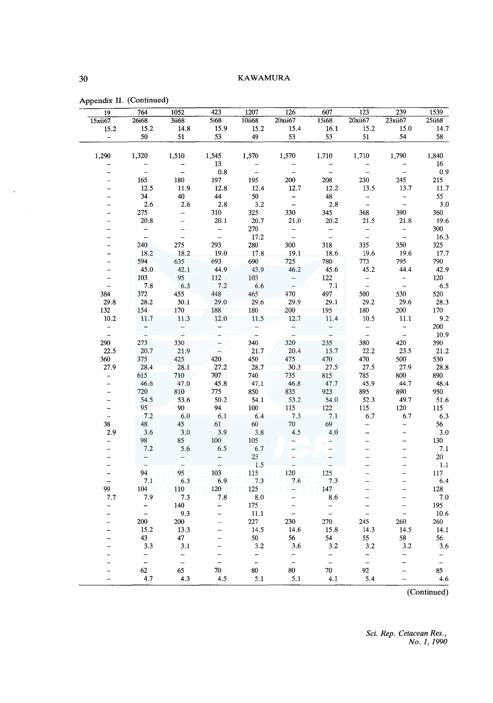| 19                       | 764                      | 1052                                       | 423                                 | 1207           | 126                      | 607                                        | 123                         | 239                      | 1539                     |
|--------------------------|--------------------------|--------------------------------------------|-------------------------------------|----------------|--------------------------|--------------------------------------------|-----------------------------|--------------------------|--------------------------|
| 15xii67                  | 26i68                    | <b>3ii68</b>                               | 5i68                                | 10ii68         | 20xii67                  | 15i68                                      | 20xii67                     | 23xii67                  | 25ii68                   |
| 15.2                     | 15.2                     | 14.8                                       | 15.9                                | 15.2           | 15.4                     | 16.1                                       | 15.2                        | 15.0                     | 14.7                     |
| $\overline{\phantom{a}}$ | 50                       | 51                                         | 53                                  | 49             | 53                       | 53                                         | 51                          | 54                       | 58                       |
|                          |                          |                                            |                                     |                |                          |                                            |                             |                          |                          |
| 1,290                    | 1,320                    | 1,510                                      | 1,545                               | 1,570          | 1,570                    | 1,710                                      | 1,710                       | 1,790                    | 1,840                    |
|                          |                          |                                            | 13                                  |                |                          |                                            |                             |                          | 16                       |
|                          | $\overline{a}$           | $\overline{\phantom{a}}$                   | 0.8                                 | $\overline{a}$ | $\overline{a}$           | u,                                         | $\overline{a}$              | $\overline{a}$           | 0.9                      |
|                          | 165                      | 180                                        | 197                                 | 195            | 200                      | 208                                        | 230                         | 245                      | 215                      |
|                          | 12.5                     | 11.9                                       | 12.8                                | 12.4           | 12.7                     | 12.2                                       | 13.5                        | 13.7                     | 11.7                     |
|                          | 34                       | 40                                         | 44                                  | 50             |                          | 48                                         |                             |                          | 55                       |
|                          | 2.6                      | 2.6                                        | 2.8                                 | 3.2            | $\frac{1}{2}$            | 2.8                                        | -<br>$\overline{a}$         | $\bar{a}$                | 3.0                      |
|                          |                          |                                            |                                     |                | 330                      |                                            | 368                         | 390                      | 360                      |
|                          | 275                      | $\overline{\phantom{a}}$                   | 310                                 | 325            |                          | 345                                        |                             | 21.8                     |                          |
|                          | 20.8                     |                                            | 20.1                                | 20.7           | 21.0                     | 20.2                                       | 21.5                        |                          | 19.6                     |
|                          | $\overline{\phantom{a}}$ | $\overline{\phantom{0}}$<br>$\overline{a}$ | $\qquad \qquad -$<br>$\overline{a}$ | 270            | $\bar{a}$                | $\overline{\phantom{a}}$<br>$\overline{a}$ | $\overline{\phantom{a}}$    | $\frac{1}{2}$            | 300                      |
|                          |                          |                                            |                                     | 17.2           |                          |                                            |                             |                          | 16.3                     |
|                          | 240                      | 275                                        | 293                                 | 280            | 300                      | 318                                        | 335                         | 350                      | 325                      |
|                          | 18.2                     | 18.2                                       | 19.0                                | 17.8           | 19.1                     | 18.6                                       | 19.6                        | 19.6                     | 17.7                     |
|                          | 594                      | 635                                        | 693                                 | 690            | 725                      | 780                                        | 773                         | 795                      | 790                      |
|                          | 45.0                     | 42.1                                       | 44.9                                | 43.9           | 46.2                     | 45.6                                       | 45.2                        | 44.4                     | 42.9                     |
|                          | 103                      | 95                                         | 112                                 | 103            | $\bar{a}$                | 122                                        | $\frac{1}{2}$               | $\frac{1}{2}$            | 120                      |
| $\overline{a}$           | 7.8                      | 6.3                                        | 7.2                                 | 6.6            |                          | 7.1                                        |                             |                          | 6.5                      |
| 384                      | 372                      | 455                                        | 448                                 | 465            | 470                      | 497                                        | 500                         | 530                      | 520                      |
| 29.8                     | 28.2                     | 30.1                                       | 29.0                                | 29.6           | 29.9                     | 29.1                                       | 29.2                        | 29.6                     | 28.3                     |
| 132                      | 154                      | 170                                        | 188                                 | 180            | 200                      | 195                                        | 180                         | 200                      | 170                      |
| 10.2                     | 11.7                     | 11.3                                       | 12.0                                | 11.5           | 12.7                     | 11.4                                       | 10.5                        | 11.1                     | $9.2\,$                  |
| <sup>-</sup>             |                          |                                            |                                     |                |                          |                                            |                             | $\frac{1}{2}$            | 200                      |
| $\overline{a}$           |                          |                                            |                                     | $\overline{a}$ |                          |                                            | $\frac{1}{2}$               |                          | 10.9                     |
| 290                      | 273                      | 330                                        |                                     | 340            | 320                      | 235                                        | 380                         | 420                      | 390                      |
| 22.5                     | 20.7                     | 21.9                                       | $\overline{a}$                      | 21.7           | 20.4                     | 13.7                                       | 22.2                        | 23.5                     | 21.2                     |
| 360                      | 375                      | 425                                        | 420                                 | 450            | 475                      | 470                                        | 470                         | 500                      | 530                      |
| 27.9                     | 28.4                     | 28.1                                       | 27.2                                | 28.7           | 30.3                     | 27.5                                       | 27.5                        | 27.9                     | $\bf 28.8$               |
| $\qquad \qquad -$        | 615                      | 710                                        | 707                                 | 740            | 735                      | 815                                        | 785                         | 800                      | 890                      |
|                          | 46.6                     | 47.0                                       | 45.8                                | 47.1           | 46.8                     | 47.7                                       | 45.9                        | 44.7                     | 48.4                     |
|                          | 720                      | 810                                        | 775                                 | 850            | 835                      | 923                                        | 895                         | 890                      | 950                      |
|                          | 54.5                     | 53.6                                       | 50.2                                | 54.1           | 53.2                     | 54.0                                       | 52.3                        | 49.7                     | 51.6                     |
| -                        | 95                       | 90                                         | 94                                  | 100            | 115                      | 122                                        | 115                         | 120                      | 115                      |
| $\overline{a}$           | 7.2                      | 6.0                                        | 6.1                                 | 6.4            | 7.3                      | 7.1                                        | 6.7                         | 6.7                      | 6.3                      |
| 38                       | 48                       | 45                                         | 61                                  | 60             | 70                       | 69                                         |                             | $\equiv$                 | 56                       |
| 2.9                      | 3.6                      | 3.0                                        | 3.9                                 | 3.8            | 4.5                      | 4,0                                        |                             | $\overline{a}$           | $3.0\,$                  |
|                          | 98                       | 85                                         | 100                                 | 105            |                          |                                            |                             | -                        | 130                      |
|                          | 7.2                      | 5.6                                        | 6.5                                 | 6.7            |                          |                                            |                             | $\overline{\phantom{0}}$ | 7.1                      |
|                          |                          |                                            |                                     | 23             |                          |                                            |                             | $\overline{a}$           | 20                       |
|                          |                          |                                            |                                     | 1.5            |                          |                                            |                             | $\overline{a}$           | 1.1                      |
|                          | 94                       | 95                                         | 103                                 | 115            | 120                      | 125                                        |                             |                          | 117                      |
|                          | 7.1                      | 6.3                                        | 6.9                                 | 7.3            | 7.6                      | 7.3                                        |                             |                          | 6.4                      |
| 99                       | 104                      | 110                                        | 120                                 | 125            |                          | 147                                        |                             |                          | 128                      |
| 7.7                      | 7.9                      | 7.3                                        | 7.8                                 | 8.0            |                          | 8.6                                        | $\overline{a}$              | $\overline{\phantom{0}}$ | $7.0\,$                  |
|                          |                          | 140                                        | -                                   | 175            | $\overline{\phantom{0}}$ |                                            | <u>.</u>                    | $\overline{a}$           | 195                      |
|                          | $\frac{1}{2}$            |                                            |                                     |                | $\overline{a}$           | $\overline{\phantom{0}}$<br>$\overline{a}$ |                             | $\overline{a}$           |                          |
|                          |                          | 9.3                                        |                                     | 11.1           | 230                      |                                            | $\frac{1}{\sqrt{2}}$<br>245 |                          | 10.6                     |
|                          | 200                      | 200                                        |                                     | 227            |                          | 270                                        |                             | 260                      | 260                      |
|                          | 15.2                     | 13.3                                       |                                     | 14.5           | 14.6                     | 15.8                                       | 14.3                        | 14.5                     | 14.1                     |
|                          | 43                       | 47                                         |                                     | 50             | 56                       | 54                                         | 55                          | 58                       | 56                       |
|                          | 3.3                      | 3.1                                        |                                     | 3.2            | 3.6                      | 3.2                                        | 3.2                         | 3.2                      | 3.6                      |
|                          | —                        | $\frac{1}{2}$                              |                                     | -              | $\overline{\phantom{0}}$ | $\overline{\phantom{0}}$                   | -                           | -                        | $\overline{\phantom{0}}$ |
|                          | $\overline{a}$           |                                            | -                                   | $\overline{a}$ | $\overline{a}$           | $\equiv$                                   | $\overline{a}$              | -                        | $\bar{\phantom{a}}$      |
|                          | 62                       | 65                                         | 70                                  | 80             | 80                       | 70                                         | 92                          |                          | 85                       |
|                          | 4.7                      | 4.3                                        | 4.5                                 | 5.1            | 5.1                      | 4.1                                        | 5.4                         | -                        | 4.6                      |

Appendix II. (Continued)

(Continued)

*Sci. Rep. Cetacean Res., No. 1, 1990* 

 $\bar{\mathbf{r}}$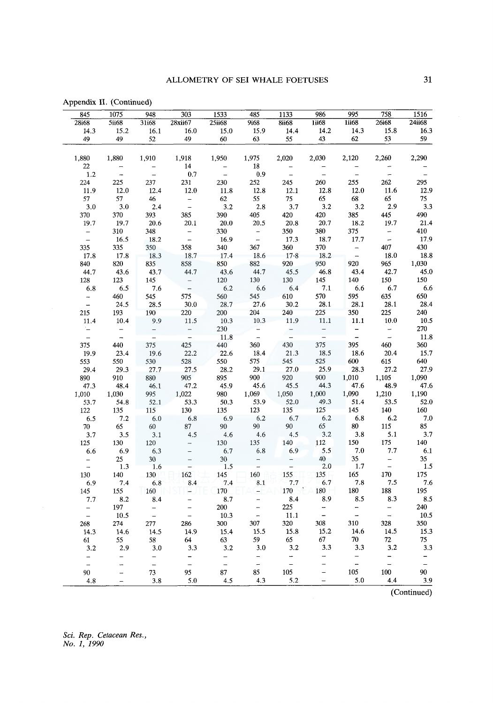| 845                  | 1075          | 948             | 303                                                            | 1533              | 485                      | 1133                     | 986                                       | 995                                       | 758                  | 1516                     |
|----------------------|---------------|-----------------|----------------------------------------------------------------|-------------------|--------------------------|--------------------------|-------------------------------------------|-------------------------------------------|----------------------|--------------------------|
| <b>28i68</b>         | 5ii68         | 31i68           | 28xii67                                                        | 25ii68            | 9i68                     | <b>8ii68</b>             | 1i68                                      | 1ii68                                     | 26i68                | 24ii68                   |
| 14.3                 | 15.2          | 16.1            | 16.0                                                           | 15.0              | 15.9                     | 14.4                     | 14.2                                      | 14.3                                      | 15.8                 | 16.3                     |
| 49                   | 49            | 52              | 49                                                             | 60                | 63                       | 55                       | 43                                        | 62                                        | 53                   | 59                       |
|                      |               |                 |                                                                |                   |                          |                          |                                           |                                           |                      |                          |
| 1,880                | 1,880         | 1,910           | 1,918                                                          | 1,950             | 1,975                    | 2,020                    | 2,030                                     | 2,120                                     | 2,260                | 2,290                    |
| 22                   | $\frac{1}{2}$ |                 | 14                                                             | $\frac{-}{-}$     | 18                       | $\overline{\phantom{a}}$ |                                           |                                           |                      |                          |
| 1.2                  |               |                 | 0.7                                                            |                   | 0.9                      |                          | $\overline{\phantom{0}}$                  | $\overline{\phantom{0}}$                  | $\bar{\phantom{a}}$  | $\overline{\phantom{a}}$ |
| 224                  | 225           | 237             | 231                                                            | 230               | 252                      | 245                      | 260                                       | 255                                       | 262                  | 295                      |
| 11.9                 | 12.0          | 12.4            | 12.0                                                           | 11.8              | 12.8                     | 12.1                     | 12.8                                      | 12.0                                      | 11.6                 | 12.9                     |
| 57                   | 57            | 46              | $\frac{1}{\pi}$                                                | 62                | 55                       | $75\,$                   | 65                                        | 68                                        | 65                   | 75                       |
| 3.0                  | 3.0           | 2.4             |                                                                | 3.2               | 2.8                      | 3.7                      | 3.2                                       | 3.2                                       | 2.9                  | 3.3                      |
| 370                  | 370           | 393             | 385                                                            | 390               | 405                      | 420                      | 420                                       | 385                                       | 445                  | 490                      |
| 19.7                 | 19.7          | 20.6            | 20.1                                                           | $20.0\,$          | 20.5                     | 20.8                     | 20.7                                      | 18.2                                      | 19.7                 | 21.4                     |
| $\frac{1}{\pi}$      | 310           | 348             | $\frac{1}{2}$                                                  | 330               | $\frac{1}{\pi}$          | 350                      | 380                                       | 375                                       | $\frac{1}{\sqrt{2}}$ | 410                      |
|                      | 16.5          | $-18.2$         |                                                                | 16.9              |                          | 17.3                     | 18.7                                      | 17.7                                      |                      | 17.9                     |
| 335                  | 335           | 350             | 358                                                            | 340               | 367                      | 360                      | 370                                       |                                           | 407                  | 430                      |
| 17.8                 | 17.8          | 18.3            | 18.7                                                           | 17.4              | 18.6                     | 17.8                     | 18.2                                      | $-$<br>$-$<br>920                         | 18.0                 | 18.8                     |
| 840                  | 820           | 835             | 858                                                            | 850               | 882                      | 920                      | 950                                       |                                           | 965                  | 1,030                    |
| 44.7                 | 43.6          | 43.7            | 44.7                                                           | 43.6              | 44.7                     | 45.5                     | 46.8                                      | 43.4                                      | 42.7                 | 45.0                     |
| 128                  | 123           | 145             | $\frac{1}{\pi}$                                                | 120               | 130                      | 130                      | 145                                       | 140                                       | 150                  | 150                      |
| 6.8                  | 6.5           | 7.6             |                                                                | $6.2\,$           | 6.6                      | 6.4                      | 7.1                                       | 6.6                                       | 6.7                  | 6.6                      |
| $\frac{1}{2}$        | 460           | 545             | 575                                                            | 560               | 545                      | 610<br>30.2              | 570                                       | 595                                       | $635$<br>28.1        | 650                      |
|                      | 24.5          | 28.5            | 30.0                                                           | 28.7              | 27.6                     |                          | 28.1                                      | 28.1                                      |                      | 28.4                     |
| 215                  | 193           | 190             | 220                                                            | 200               | 204                      | 240                      | 225                                       | 350                                       | $225\,$              | 240                      |
| 11.4                 | 10.4          | 9.9             | $11.5$                                                         | 10.3              | 10.3                     | 11.9                     | 11.1                                      | $11.1\,$                                  | $10.0$               | $10.5\,$                 |
| E)<br>H              | $\frac{1}{2}$ | $\frac{1}{\pi}$ |                                                                | 230               | $\frac{1}{\pi}$          | $\frac{1}{\sqrt{2}}$     | $\frac{1}{2}$                             | $\frac{1}{2}$                             | $\frac{1}{2}$        | 270<br>11.8              |
|                      | 440           |                 | $\frac{-}{425}$                                                | 11.8              |                          | 430                      | 375                                       | 395                                       | 460                  | 360                      |
| 375                  | 23.4          | 375             | 22.2                                                           | 440<br>22.6       | 360<br>18.4              | 21.3                     | 18.5                                      | 18.6                                      | 20.4                 | 15.7                     |
| 19.9                 | 550           | 19.6<br>530     | 528                                                            | 550               | 575                      | 545                      | 525                                       | 600                                       | 615                  | 640                      |
| 553                  |               |                 |                                                                |                   | 29.1                     | 27.0                     | 25.9                                      | 28.3                                      |                      | 27.9                     |
| 29.4                 | 29.3<br>910   | 27.7            | 27.5<br>905                                                    | 28.2<br>895       | 900                      | 920                      | 900                                       | 1,010                                     | 27.2<br>1,105        | 1,090                    |
| 890<br>47.3          | 48.4          | 880<br>46.1     | 47.2                                                           | 45.9              | 45.6                     | 45.5                     | 44.3                                      | 47.6                                      | 48.9                 | 47.6                     |
| 1,010                | 1,030         | 995             | 1,022                                                          | 980               | 1,069                    | 1,050                    | 1,000                                     | 1,090                                     | 1,210                | 1,190                    |
| 53.7                 | 54.8          | 52.1            | 53.3                                                           | 50.3              | 53.9                     | 52.0                     | 49.3                                      | 51.4                                      | 53.5                 | 52.0                     |
| 122                  | 135           | 115             | 130                                                            | 135               | 123                      | 135                      | 125                                       |                                           |                      | 160                      |
| 6.5                  | 7.2           | 6.0             | 6.8                                                            | 6.9               | 6.2                      | 6.7                      | 6.2                                       | $\begin{array}{c} 145 \\ 6.8 \end{array}$ | $\frac{140}{6.2}$    | 7.0                      |
| 70                   | 65            | 60              | 87                                                             | 90                | 90                       | 90                       | 65                                        | 80                                        |                      | 85                       |
| 3.7                  | 3.5           | 3.1             | 4.5                                                            | 4.6               | 4.6                      | 4.5                      | 3.2                                       | 3.8                                       | $\frac{115}{5.1}$    | 3.7                      |
| 125                  | 130           | 120             |                                                                | 130               | 135                      | 140                      | 112                                       | 150                                       | 175                  | 140                      |
| 6.6                  | 6.9           | 6.3             |                                                                | 6.7               | 6.8                      | 6.9                      | 5.5                                       | $7.0\,$                                   | 7.7                  | $6.1\,$                  |
|                      | 25            | 30              |                                                                | 30 <sup>°</sup>   |                          |                          | 40                                        | 35                                        |                      | 35 <sub>1</sub>          |
| $\frac{1}{\pi}$      | 1.3           | 1.6             | $\begin{bmatrix} 1 & 1 & 1 & 1 \\ 1 & 1 & 1 & 1 \end{bmatrix}$ | 1.5               | $\frac{1}{2}$            | $\frac{1}{2}$            | $2.0\,$                                   | 1.7                                       | $\frac{1}{\pi}$      | 1.5                      |
| 130                  | 140           | 130             | 162                                                            | $\frac{145}{7.4}$ | 160                      | 155                      |                                           | $\begin{array}{c} 165 \\ 7.8 \end{array}$ | $170\,$              | 175                      |
| 6.9                  | 7.4           | 6.8             | 8.4                                                            |                   | 8.1                      | 7.7                      | $\begin{array}{c} 135 \\ 6.7 \end{array}$ |                                           | 7.5                  | 7.6                      |
| 145                  | 155           | 160             | ш.                                                             | 170               | $\overline{\phantom{a}}$ | 170                      | 180                                       | 180                                       | 188                  | 195                      |
| 7.7                  | 8.2           | 8.4             |                                                                | $8.7\,$           | -                        | 8.4                      | 8.9                                       | 8.5                                       | 8.3                  | 8.5                      |
|                      | 197           |                 |                                                                | 200               | $\overline{a}$           | 225                      |                                           |                                           |                      | 240                      |
| $\frac{1}{\sqrt{2}}$ | 10.5          | $\frac{-}{-}$   | $\frac{1}{2}$                                                  | 10.3              | $\frac{1}{2}$            | 11.1                     | $\frac{1}{2}$                             | $\frac{1}{2}$                             | $\frac{1}{\pi}$      | $10.5\,$                 |
| 268                  | 274           | 277             | 286                                                            | 300               | 307                      | 320                      | 308                                       | 310                                       | 328                  | 350                      |
| 14.3                 | 14.6          | 14.5            | 14.9                                                           | 15.4              | 15.5                     | 15.8                     | 15.2                                      | 14.6                                      | 14.5                 | 15.3                     |
| 61                   | 55            | 58              | 64                                                             | 63                | 59                       | 65                       | 67                                        | 70                                        | 72                   | 75                       |
| 3.2                  | 2.9           | 3.0             | 3.3                                                            | 3.2               | 3.0                      | 3.2                      | 3.3                                       | 3.3                                       | $3.2\,$              | 3.3                      |
| $\frac{1}{1}$        |               |                 | $\frac{1}{2}$                                                  | $\bar{a}$         | $\frac{1}{2}$            | $\frac{1}{\sqrt{2}}$     | -                                         | $\frac{1}{2}$                             | $\bar{\Box}$         | $-$                      |
|                      | ÷,            | $\frac{1}{2}$   |                                                                |                   |                          |                          |                                           |                                           |                      | $\frac{1}{\sqrt{2}}$     |
| 90                   |               | 73              | 95                                                             | 87                | 85                       | 105                      |                                           | 105                                       | 100                  | 90                       |
| 4.8                  |               | 3.8             | 5.0                                                            | 4.5               | 4.3                      | 5.2                      | $\overline{\phantom{0}}$                  | $5.0\,$                                   | 4.4                  | 3.9                      |

Appendix II. (Continued)

(Continued)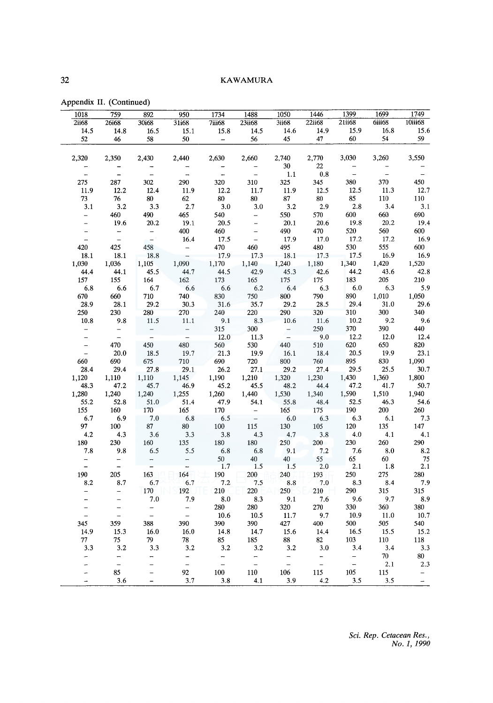|  |  | Appendix II. (Continued) |
|--|--|--------------------------|
|--|--|--------------------------|

| 1749                     | 1699                     | 1399           | 1446           | 1050                                       | 1488                     | 1734                     | 950                      | 892            | 759           | 1018                     |
|--------------------------|--------------------------|----------------|----------------|--------------------------------------------|--------------------------|--------------------------|--------------------------|----------------|---------------|--------------------------|
| 10iii68                  | 6iii68                   | 21ii68         | 22ii68         | 3ii68                                      | <b>23ii68</b>            | 7iii68                   | 31i68                    | 30i68          | <b>26i68</b>  | <b>2ii68</b>             |
| 15.6                     | 16.8                     | 15.9           | 14.9           | 14.6                                       | 14.5                     | 15.8                     | 15.1                     | 16.5           | 14.8          | 14.5                     |
| 59                       | 54                       | 60             | 47             | 45                                         | 56                       | $\frac{1}{2}$            | 50                       | 58             | 46            | 52                       |
| 3,550                    | 3,260                    | 3,030          | 2,770          | 2,740                                      | 2,660                    | 2,630                    | 2,440                    | 2,430          | 2,350         | 2,320                    |
|                          |                          |                | 22             | 30                                         |                          |                          |                          |                |               |                          |
| $\overline{\phantom{0}}$ | $\overline{\phantom{0}}$ | $\overline{a}$ | $\rm 0.8$      | 1.1                                        |                          | $\overline{a}$           |                          | $\overline{a}$ |               | $\overline{a}$           |
| 450                      | 370                      | 380            | 345            | 325                                        | 310                      | 320                      | 290                      | 302            | 287           | 275                      |
| 12.7                     | 11.3                     | 12.5           | 12.5           | 11.9                                       | 11.7                     | 12.2                     | 11.9                     | 12.4           | 12.2          | 11.9                     |
| $110\,$                  | 110                      | 85             | 80             | 87                                         | 80                       | 80                       | 62                       | 80             | 76            | 73                       |
| 3.1                      | 3.4                      | 2.8            | 2.9            | 3.2                                        | 3.0                      | 3.0                      | 2.7                      | 3.3            | 3.2           | 3.1                      |
| 690                      | 660                      | 600            | 570            | 550                                        | $\overline{\phantom{0}}$ | 540                      | 465                      | 490            | 460           | -                        |
| 19.4                     | 20.2                     | 19.8           | 20.6           | 20.1                                       | $\equiv$                 | 20.5                     | 19.1                     | 20.2           | 19.6          | $\overline{a}$           |
| 600                      | 560                      | 520            | 470            | 490                                        |                          | 460                      | 400                      | $\bar{a}$      |               |                          |
| 16.9                     | 17.2                     | 17.2           | 17.0           | 17.9                                       | $\equiv$                 | 17.5                     | 16.4                     |                |               |                          |
| 600                      | 555                      | 530            | 480            | 495                                        | 460                      | 470                      |                          | 458            | 425           | 420                      |
| 16.9                     | 16.9                     | 17.5           | 17.3           | 18.1                                       | 17.3                     | 17.9                     |                          | 18.8           | 18.1          | 18.1                     |
| 1,520                    | 1,420                    | 1,340          | 1,180          | 1,240                                      | 1,140                    | 1,170                    | 1,090                    | 1,105          | 1,036         | 1,030                    |
| 42.8                     | 43.6                     | 44.2           | 42.6           | 45.3                                       | 42.9                     | 44.5                     | 44.7                     | 45.5           | 44.1          | 44.4                     |
| 210                      | 205                      | 183            | 175            | 175                                        | 165                      | 173                      | 162                      | 164            | 155           | 157                      |
| 5.9                      | 6.3                      | 6.0            | 6.3            | 6.4                                        | 6.2                      | 6.6                      | 6.6                      | 6.7            | 6.6           | 6.8                      |
| 1,050                    | 1,010                    | 890            | $790\,$        | $\begin{array}{c} 800 \\ 29.2 \end{array}$ | 750                      | 830                      | 740                      | 710            | 660           | 670                      |
| 29.6                     | 31.0                     | 29.4           | 28.5           |                                            | 35.7                     | 31.6                     | 30.3                     | 29.2           | 28.1          | 28.9                     |
| 340                      | 300                      | 310            | 320            | 290                                        | 220                      | 240                      | 270                      | 280            | 230           | 250                      |
| 9.6                      | 9.2                      | 10.2           | 11.6           | 10.6                                       | 8.3                      | 9.1                      | 11.1                     | 11.5           | 9.8           | 10.8                     |
| 440                      | 390                      | 370            | 250            | $\overline{\phantom{a}}$                   | 300                      | 315                      | $\qquad \qquad -$        | $\frac{1}{2}$  |               | $\qquad \qquad -$        |
| 12.4                     | 12.0                     | 12.2           | 9.0            |                                            | 11.3                     | 12.0                     |                          |                |               |                          |
| 820                      | 650                      | 620            | $510\,$        | 440                                        | 530                      | 560                      | 480                      | 450            | 470           | $\overline{\phantom{0}}$ |
| 23.1                     | 19.9                     | 20.5           | 18.4           | 16.1                                       | 19.9                     | 21.3                     | 19.7                     | 18.5           | 20.0          |                          |
| 1,090                    | 830                      | 895<br>29.5    | 760            | 800                                        | 720                      | 690                      | 710                      | 675            | 690           | 660                      |
| 30.7                     | 25.5                     |                | 27.4           | 29.2                                       | 27.1                     | 26.2                     | 29.1                     | 27.8           | 29.4          | 28.4                     |
| 1,800<br>50.7            | 1,360<br>41.7            | 1,430<br>47.2  | 1,230          | 1,320                                      | 1,210                    | 1,190<br>45.2            | 1,145                    | 1,110          | 1,110         | 1,120                    |
| 1,940                    | 1,510                    | 1,590          | 44.4           | 48.2                                       | 45.5                     |                          | 46.9                     | 45.7           | 47.2          | 48.3                     |
| 54.6                     | 46.3                     | 52.5           | 1,340<br>48.4  | 1,530<br>55.8                              | 1,440<br>54.1            | 1,260                    | 1,255<br>51.4            | 1,240<br>51.0  | 1,240<br>52.8 | 1,280<br>55.2            |
| 260                      | 200                      | 190            | 175            |                                            | $\overline{\phantom{m}}$ | 47.9<br>170              | 165                      | 170            | 160           |                          |
| $7.3\,$                  | 6.1                      | 6.3            | 6.3            | 165<br>6.0                                 | $\frac{1}{2}$            | 6.5                      | 6.8                      | $7.0\,$        | 6.9           | 155<br>6.7               |
| 147                      | 135                      | 120            | 105            | 130                                        | 115                      | $100\,$                  | $80\,$                   | $87\,$         | 100           | 97                       |
| 4.1                      | 4.1                      | 4.0            | 3.8            | 4.7                                        | 4.3                      | 3.8                      | 3.3                      | 3.6            | 4.3           | 4.2                      |
| 290                      | 260                      | 230            | 200            | 250                                        | 180                      | 180                      | 135                      | 160            | 230           | 180                      |
| 8.2                      | $\bf 8.0$                | 7.6            | 7.2            | 9.1                                        | 6.8                      | 6.8                      | 5.5                      | 6.5            | 9.8           | 7.8                      |
| 75                       | 60                       | 65             | 55             | 40                                         | 40                       | 50                       |                          |                |               |                          |
| 2.1                      | 1.8                      | $2.1\,$        | 2.0            | 1.5                                        | 1.5                      | 1.7                      |                          | $\overline{a}$ |               | $\overline{\phantom{a}}$ |
| 280                      | 275                      | 250            | 193            | 240                                        | 200                      | 190                      | 164                      | 163            | 205           | 190                      |
| 7.9                      | 8.4                      | 8.3            | 7.0            | 8.8                                        | 7.5                      | 7.2                      | 6.7                      | 6.7            | 8.7           | 8.2                      |
| 315                      | 315                      | 290            | 210            | 250                                        | 220                      | 210                      | 192                      | 170            |               |                          |
| 8.9                      | 9.7                      | 9,6            | 7.6            | 9.1                                        | 8.3                      | 8.0                      | 7.9                      | 7.0            |               |                          |
| 380                      | 360                      | 330            | 270            | 320                                        | 280                      | 280                      | $\overline{\phantom{0}}$ |                | L             |                          |
| 10.7                     | 11.0                     | 10.9           | 9.7            | 11.7                                       | 10.5                     | 10.6                     | $\overline{\phantom{0}}$ | $\frac{1}{2}$  |               | $\overline{a}$           |
| 540                      | 505                      | 500            | 400            | 427                                        | 390                      | 390                      | 390                      | 388            | 359           | 345                      |
| $15.2\,$                 | 15.5                     | 16.5           | 14.4           | 15.6                                       | 14.7                     | 14.8                     | 16.0                     | 16.0           | 15.3          | 14.9                     |
| 118                      | 110                      | 103            | 82             | 88                                         | 185                      | 85                       | 78                       | 79             | 75            | 77                       |
| 3.3                      | 3,4                      | 3.4            | 3.0            | 3.2                                        | 3.2                      | 3.2                      | 3.2                      | 3.3            | 3.2           | 3.3                      |
| 80                       | 70                       |                |                |                                            |                          | $\overline{\phantom{0}}$ |                          |                |               |                          |
| 2.3                      | $2.1\,$                  | $\frac{1}{1}$  | $\overline{a}$ | $\overline{\phantom{0}}$                   |                          | $\overline{\phantom{0}}$ |                          |                |               |                          |
|                          |                          | 105            |                | 106                                        | 110                      | 100                      | 92                       |                | 85            |                          |
|                          | 115                      |                | 115            |                                            |                          |                          |                          |                |               |                          |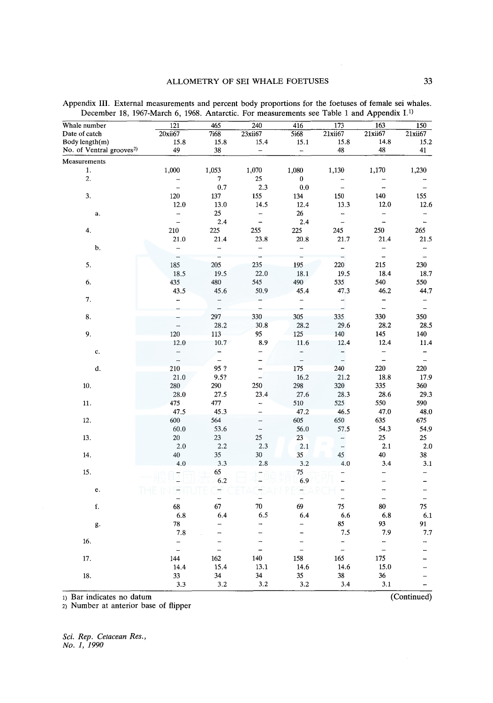#### ALLOMETRY OF SEI WHALE FOETUSES 33

|                                      |                          |                          |                          |                          |                          | . .                      |                          |
|--------------------------------------|--------------------------|--------------------------|--------------------------|--------------------------|--------------------------|--------------------------|--------------------------|
| Whale number                         | $\overline{121}$         | 465                      | 240                      | 416                      | 173                      | $\overline{163}$         | $\overline{150}$         |
| Date of catch                        | 20xii67                  | 7i68                     | 23xii67                  | 5i68                     | 21xii67                  | 21xii67                  | 21xii67                  |
| Body length(m)                       | 15.8                     | 15.8                     | 15.4                     | 15.1                     | 15.8                     | 14.8                     | 15.2                     |
| No. of Ventral grooves <sup>2)</sup> | 49                       | 38                       | $\overline{\phantom{0}}$ | $\overline{a}$           | 48                       | 48                       | 41                       |
| Measurements                         |                          |                          |                          |                          |                          |                          |                          |
| 1.                                   | 1,000                    | 1,053                    | 1,070                    | 1,080                    | 1,130                    | 1,170                    | 1,230                    |
| 2.                                   |                          | 7                        | 25                       | $\boldsymbol{0}$         |                          |                          |                          |
|                                      | $\overline{a}$           | 0.7                      | 2.3                      | 0.0                      | $\equiv$                 | $\overline{\phantom{0}}$ | $\overline{\phantom{0}}$ |
| 3.                                   | 120                      | 137                      | 155                      | 134                      | 150                      | 140                      | 155                      |
|                                      | 12.0                     | 13.0                     | 14.5                     | 12.4                     | 13.3                     | 12.0                     | 12.6                     |
| a.                                   | $\overline{a}$           | 25                       | $\overline{a}$           | 26                       | ÷,                       | $\overline{\phantom{0}}$ | $\overline{a}$           |
|                                      | $\overline{a}$           | 2.4                      | -                        | 2.4                      | $\equiv$                 | $\overline{a}$           | $\overline{\phantom{a}}$ |
| 4.                                   | 210                      | 225                      | 255                      | 225                      | 245                      | 250                      | 265                      |
|                                      | 21.0                     | 21.4                     | 23.8                     | 20.8                     | 21.7                     | 21.4                     | 21.5                     |
| b.                                   | $\overline{\phantom{0}}$ | $\overline{a}$           | $\overline{\phantom{0}}$ | $\overline{\phantom{0}}$ | $\overline{\phantom{0}}$ | $\overline{\phantom{a}}$ | $\overline{\phantom{m}}$ |
|                                      | $\overline{\phantom{0}}$ | $\overline{a}$           | $\overline{a}$           | $\equiv$                 | $\overline{a}$           | $\frac{1}{2}$            | $\equiv$                 |
| 5.                                   | 185                      | 205                      | 235                      | 195                      | 220                      | 215                      | 230                      |
|                                      | 18.5                     | 19.5                     | 22.0                     | 18.1                     | 19.5                     | 18.4                     | 18.7                     |
| 6.                                   | 435                      | 480                      | 545                      | 490                      | 535                      | 540                      | 550                      |
|                                      | 43.5                     | 45.6                     | 50.9                     | 45.4                     | 47.3                     | 46.2                     | 44.7                     |
| 7.                                   | -                        | $\overline{\phantom{0}}$ |                          | $\overline{\phantom{0}}$ | $\overline{\phantom{0}}$ | -                        | $\overline{\phantom{0}}$ |
|                                      |                          | $\overline{a}$           |                          | $\overline{a}$           | $\frac{1}{2}$            | $\equiv$                 | $\overline{\phantom{a}}$ |
| 8.                                   |                          | 297                      | 330                      | 305                      | 335                      | 330                      | 350                      |
|                                      |                          | 28.2                     | 30.8                     | 28.2                     | 29.6                     | 28.2                     | 28.5                     |
| 9.                                   | 120                      | 113                      | 95                       | 125                      | 140                      | 145                      | 140                      |
|                                      | 12.0                     | 10.7                     | 8.9                      | 11.6                     | 12.4                     | 12.4                     | 11.4                     |
| c.                                   |                          | -                        | $\overline{\phantom{0}}$ | $\overline{\phantom{0}}$ | $\overline{\phantom{a}}$ | $\qquad \qquad -$        | -                        |
|                                      | $\frac{1}{1}$            | $\overline{a}$           | -                        | $\overline{a}$           |                          | $\overline{a}$           | $\qquad \qquad -$        |
| d.                                   | 210                      | 95?                      | -                        | 175                      | 240                      | 220                      | 220                      |
|                                      | 21.0                     | 9.5?                     | $\qquad \qquad -$        | 16.2                     | 21.2                     | 18.8                     | 17.9                     |
| 10.                                  | 280                      | 290                      | 250                      | 298                      | 320                      | 335                      | 360                      |
|                                      | 28.0                     | 27.5                     | 23.4                     | 27.6                     | 28.3                     | 28.6                     | 29.3                     |
| 11.                                  | 475                      | 477                      | $\overline{a}$           | 510                      | 525                      | 550                      | 590                      |
|                                      | 47.5                     | 45.3                     | $\qquad \qquad -$        | 47.2                     | 46.5                     | 47.0                     | 48.0                     |
| 12.                                  | 600                      | 564                      | $\qquad \qquad -$        | 605                      | 650                      | 635                      | 675                      |
|                                      | 60.0                     | 53.6                     | $\overline{\phantom{0}}$ | 56.0                     | 57.5                     | 54.3                     | 54.9                     |
| 13.                                  | 20                       | 23                       | 25                       | 23                       | $\overline{\phantom{0}}$ | 25                       | 25                       |
|                                      | 2.0                      | 2.2                      | 2.3                      | 2.1                      | $\overline{a}$           | 2.1                      | 2.0                      |
| 14.                                  | 40                       | 35                       | 30                       | 35                       | 45                       | 40                       | 38                       |
|                                      | 4.0                      | 3.3                      | 2.8                      | 3.2                      | 4.0                      | 3.4                      | 3.1                      |
| 15.                                  |                          | 65                       |                          | 75                       |                          | -                        | $\qquad \qquad -$        |
|                                      |                          | 6.2                      |                          | 6.9                      |                          | $\overline{a}$           | $\overline{\phantom{0}}$ |
| e.                                   |                          | Η                        |                          |                          | ÷                        | -                        | $\overline{\phantom{0}}$ |
|                                      |                          | _                        |                          | Ì                        | $\equiv$                 | $\overline{\phantom{a}}$ | $\overline{\phantom{a}}$ |
| f.                                   | 68                       | 67                       | 70                       | 69                       | 75                       | 80                       | 75                       |
|                                      | 6.8                      | 6.4                      | 6.5                      | 6.4                      | 6.6                      | 6.8                      | 6.1                      |
| g.                                   | 78                       | $\overline{\phantom{0}}$ | $\overline{\phantom{0}}$ | $\overline{a}$           | 85                       | 93                       | 91                       |
|                                      | 7.8                      |                          | $\overline{a}$           |                          | 7.5                      | 7.9                      | 7.7                      |
| 16.                                  | $\equiv$                 | -                        | $\rightarrow$            | $\qquad \qquad -$        | $\overline{\phantom{a}}$ | -                        | -                        |
|                                      | $\overline{\phantom{0}}$ | $\overline{a}$           | $\overline{\phantom{0}}$ | $\overline{a}$           | $\equiv$                 | $\equiv$                 |                          |
| 17.                                  | 144                      | 162                      | 140                      | 158                      | 165                      | 175                      |                          |
|                                      | 14.4                     | 15.4                     | 13.1                     | 14.6                     | 14.6                     | 15.0                     |                          |
| 18.                                  | 33                       | 34                       | 34                       | 35                       | 38                       | 36                       | -                        |
|                                      | 3.3                      | 3.2                      | 3.2                      | 3.2                      | 3.4                      | 3.1                      |                          |

Appendix III. External measurements and percent body proportions for the foetuses of female sei whales. December 18, 1967-March 6, 1968. Antarctic. For measurements see Table 1 and Appendix I.<sup>1)</sup>

1) Bar indicates no datum (Continued)

2) Number at anterior base of flipper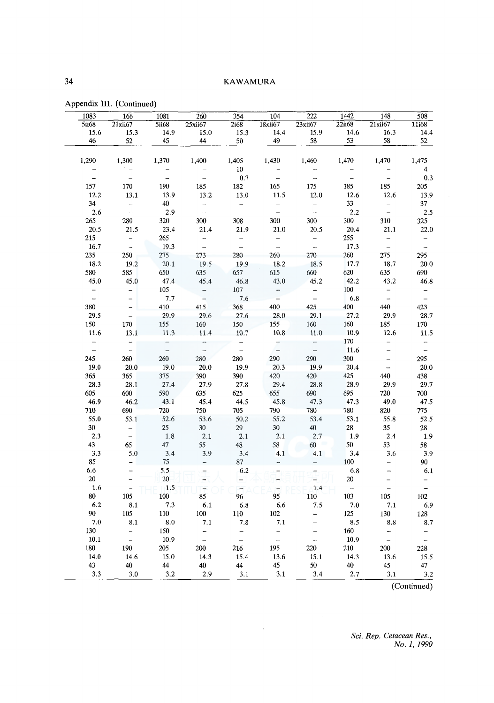| 1083                     | 166                                             | 1081                | 260            | $\overline{354}$          | 104                                 | $\overline{222}$         | 1442                     | 148                      | 508                                                  |
|--------------------------|-------------------------------------------------|---------------------|----------------|---------------------------|-------------------------------------|--------------------------|--------------------------|--------------------------|------------------------------------------------------|
| 5ii68                    | 21xii67                                         | <b>5ii68</b>        | 25xii67        | 2i68                      | 18xii67                             | 23xii67                  | 22ii68                   | 21xii67                  | 11i68                                                |
| 15.6                     | 15.3                                            | 14.9                | 15.0           | 15.3                      | 14.4                                | 15.9                     | 14.6                     | 16.3                     | 14.4                                                 |
| 46                       | 52                                              | 45                  | 44             | 50                        | 49                                  | 58                       | 53                       | 58                       | 52                                                   |
|                          |                                                 |                     |                |                           |                                     |                          |                          |                          |                                                      |
| 1,290                    | 1,300                                           | 1,370               | 1,400          | 1,405                     | 1,430                               | 1,460                    | 1,470                    | 1,470                    | 1,475                                                |
|                          |                                                 |                     |                | 10                        |                                     |                          |                          |                          | 4                                                    |
| $\overline{a}$           | $\overline{a}$                                  | $\overline{a}$      | $\overline{a}$ | 0.7                       | $\bar{ }$                           | $\frac{1}{2}$            | $\overline{\phantom{0}}$ | $\frac{1}{2}$            | 0.3                                                  |
| 157                      | 170                                             | 190                 | 185            | 182                       | 165                                 | 175                      | 185                      | 185                      | 205                                                  |
| 12.2                     | 13.1                                            | 13.9                | 13.2           | 13.0                      | 11.5                                | 12.0                     | 12.6                     | 12.6                     | 13.9                                                 |
| 34                       | $\overline{\phantom{0}}$                        | 40                  | $\frac{1}{2}$  |                           | $\qquad \qquad -$                   | $\overline{\phantom{0}}$ | 33                       | $\frac{1}{2}$            | 37                                                   |
| 2.6                      | $\frac{1}{2}$                                   | 2.9                 |                | $\frac{1}{2}$             | $\frac{1}{2}$                       | $\overline{a}$           | 2.2                      |                          | 2.5                                                  |
| 265                      | 280                                             | 320                 | 300            | 308                       | 300                                 | 300                      | 300                      | 310                      | 325                                                  |
| 20.5                     | 21.5                                            | 23.4                | 21.4           | 21.9                      | 21.0                                | 20.5                     | 20.4                     | 21.1                     | 22.0                                                 |
| 215                      |                                                 | 265                 | $\overline{a}$ | $\qquad \qquad -$         | $\qquad \qquad -$                   | $\overline{\phantom{0}}$ | 255                      |                          | $\qquad \qquad -$                                    |
| 16.7                     | $\frac{1}{2}$                                   | 19.3                | $\frac{1}{2}$  | $\overline{a}$            | $\frac{1}{2}$                       | $\overline{\phantom{a}}$ | 17.3                     | $\frac{1}{\sqrt{2}}$     | $\overline{\phantom{a}}$                             |
| 235                      | 250                                             | 275                 | 273            | 280                       | 260                                 | 270                      | 260                      | 275                      | 295                                                  |
| 18.2                     | 19.2                                            | 20.1                | 19.5           | 19.9                      | 18.2                                | 18.5                     | 17.7                     | 18.7                     | 20.0                                                 |
| 580                      | 585                                             | 650                 | 635            | 657                       | 615                                 | 660                      | 620                      | 635                      | 690                                                  |
| 45.0                     | 45.0                                            | 47.4                | 45.4           | 46.8                      | 43.0                                | 45.2                     | 42.2                     | 43.2                     | 46.8                                                 |
|                          | $\qquad \qquad -$                               | 105                 |                | $107\,$                   |                                     |                          | 100                      |                          | $\overline{\phantom{a}}$                             |
| $\frac{1}{2}$            |                                                 | 7.7                 | $\frac{1}{2}$  | 7.6                       | $\frac{1}{2}$                       | $\bar{\mathbb{I}}$       | 6.8                      | $\frac{1}{\alpha}$       | $\frac{1}{2}$                                        |
| 380                      | $\qquad \qquad \blacksquare$                    | 410                 | 415            | 368                       | 400                                 | 425                      | 400                      | 440                      | 423                                                  |
|                          |                                                 |                     |                |                           |                                     |                          |                          | 29.9                     |                                                      |
| 29.5                     | $\overline{a}$                                  | 29.9                | 29.6           | 27.6                      | 28.0                                | 29.1                     | 27.2                     |                          | 28.7                                                 |
| 150                      | 170                                             | 155                 | 160            | 150                       | 155                                 | 160                      | 160                      | 185                      | 170                                                  |
| 11.6                     | 13.1                                            | 11.3                | 11.4           | 10.7                      | 10.8                                | $11.0$                   | 10.9                     | 12.6                     | 11.5                                                 |
| $\overline{\phantom{0}}$ | $\frac{1}{2}$                                   | -                   |                |                           | È                                   | $\overline{\phantom{0}}$ | 170                      | $\overline{\phantom{0}}$ | $\overline{\phantom{0}}$                             |
| $\frac{1}{2}$            | $\frac{1}{2}$                                   | $\bar{\mathcal{L}}$ | $\omega$       | $\frac{1}{2}$             |                                     | $\overline{\phantom{a}}$ | 11.6                     | $\equiv$                 | $\overline{a}$                                       |
| 245                      | 260                                             | 260                 | 280            | 280                       | 290                                 | 290                      | 300                      | $\qquad \qquad -$        | 295                                                  |
| 19.0                     | 20.0                                            | 19.0                | 20.0           | 19.9                      | 20.3                                | 19.9                     | 20.4                     | $\equiv$                 | 20.0                                                 |
| 365                      | 365                                             | 375                 | 390            | 390                       | 420                                 | 420                      | 425                      | 440                      | 438                                                  |
| 28.3                     | 28.1                                            | 27.4                | 27.9           | 27.8                      | 29.4                                | 28.8                     | 28.9                     | 29.9                     | 29.7                                                 |
| 605                      | 600                                             | 590                 | 635            | 625                       | 655                                 | 690                      | 695                      | 720                      | 700                                                  |
| 46.9                     | 46.2                                            | 43.1                | 45.4           | 44.5                      | 45.8                                | 47.3                     | 47.3                     | 49.0                     | 47.5                                                 |
| 710                      | 690                                             | 720                 | 750            | 705                       | 790                                 | 780                      | 780                      | 820                      | 775                                                  |
| 55.0                     | 53.1                                            | 52.6                | 53.6           | 50.2                      | 55.2                                | 53.4                     | 53.1                     | 55.8                     | 52.5                                                 |
| 30                       | $\overline{\phantom{a}}$                        | 25                  | 30             | 29                        | $30\,$                              | 40                       | 28                       | 35                       | 28                                                   |
| 2.3                      | $\frac{1}{2}$                                   | 1.8                 | 2.1            | 2.1                       | 2.1                                 | 2.7                      | 1.9                      | 2.4                      | 1.9                                                  |
| 43                       | 65                                              | 47                  | 55             | 48                        | 58                                  | 60                       | 50                       | 53                       | 58                                                   |
| 3.3                      | 5.0                                             | 3.4                 | 3.9            | 3.4                       | 4.1                                 | 4.1                      | 3.4                      | 3.6                      | 3.9                                                  |
| 85                       |                                                 | 75                  |                | 87                        |                                     |                          | 100                      | ÷,                       | 90                                                   |
| 6.6                      | $\overline{a}$                                  | 5.5                 |                | 6.2                       |                                     |                          | 6.8                      | $\Box$                   | 6.1                                                  |
| 20                       |                                                 | 20                  |                | $\overline{\phantom{0}}$  |                                     |                          | 20                       | -                        | $\equiv$                                             |
| 1.6                      |                                                 | 1.5                 |                |                           |                                     | 1.4                      | $\ddot{\phantom{0}}$     | $\frac{1}{2}$            | $\Box$                                               |
| 80                       | 105                                             | 100                 | 85             | 96                        | 95                                  | 110                      | 103                      | 105                      | 102                                                  |
| 6.2                      | 8.1                                             | 7.3                 | 6.1            | 6.8                       | 6.6                                 | 7.5                      | 7.0                      | 7.1                      | 6.9                                                  |
| 90                       | 105                                             | 110                 | 100            | 110                       | 102                                 | -                        | 125                      | 130                      |                                                      |
| 7.0                      | 8.1                                             | 8.0                 | 7.1            | 7.8                       | 7.1                                 |                          | 8.5                      | 8.8                      | 128                                                  |
|                          |                                                 |                     |                |                           |                                     |                          |                          |                          | 8.7                                                  |
| 130                      | $\overline{\phantom{0}}$<br>$\bar{\phantom{a}}$ | 150                 | -              | $\equiv$<br>$\frac{1}{2}$ | $\qquad \qquad -$<br>$\overline{a}$ |                          | 160                      | u,<br>$\frac{1}{2}$      | $\overline{\phantom{a}}$<br>$\overline{\phantom{a}}$ |
| $10.1$                   |                                                 | 10.9                | $\overline{a}$ |                           |                                     |                          | 10.9                     |                          |                                                      |
| 180                      | 190                                             | 205                 | 200            | 216                       | 195                                 | 220                      | 210                      | 200                      | 228                                                  |
| 14.0                     | 14.6                                            | 15.0                | 14.3           | 15.4                      | 13.6                                | 15.1                     | 14.3                     | 13.6                     | 15.5                                                 |
| 43                       | 40                                              | 44                  | 40             | 44                        | 45                                  | 50                       | 40                       | 45                       | 47                                                   |
| 3.3                      | 3.0                                             | 3.2                 | 2.9            | 3.1                       | 3.1                                 | 3.4                      | 2.7                      | 3.1                      | 3.2                                                  |

 $\sim 0.1$ 

Appendix III. (Continued)

(Continued)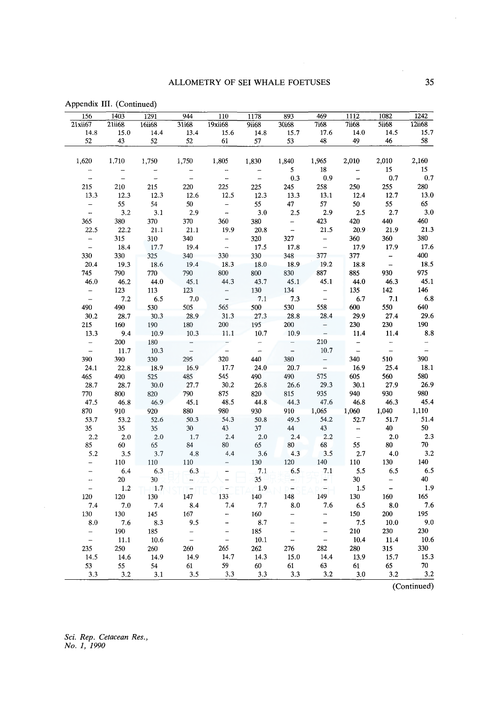| 1242          | 1082                                | 1112           | 469                      | 893                      | 1178               | 110                      | 944                                      | 1291                   | 1403          | 156                                        |
|---------------|-------------------------------------|----------------|--------------------------|--------------------------|--------------------|--------------------------|------------------------------------------|------------------------|---------------|--------------------------------------------|
| 12ii68        | <b>5ii68</b>                        | $7i$ i68       | <b>7i68</b>              | 30i68                    | 9ii68              | 19xii68                  | 31i68                                    | 16ii68                 | 21ii68        | 21xii67                                    |
| 15.7<br>58    | 14.5<br>46                          | 14.0<br>49     | 17.6<br>48               | 15.7                     | 14.8               | 15.6                     | 13.4<br>52                               | 14.4                   | 15.0          | 14.8<br>52                                 |
|               |                                     |                |                          | 53                       | 57                 | 61                       |                                          | 52                     | 43            |                                            |
| 2,160         | 2,010                               | 2,010          | 1,965                    | 1,840                    | 1,830              | 1,805                    | 1,750                                    | 1,750                  | 1,710         | 1,620                                      |
| 15            | 15                                  |                | 18                       | 5                        |                    |                          |                                          |                        |               | -                                          |
| $0.7\,$       | 0.7                                 | $\overline{a}$ | 0.9                      | 0.3                      | $\overline{a}$     | L.                       | $\equiv$                                 | $\overline{a}$         | $\bar{a}$     | $\overline{a}$                             |
| 280           | 255                                 | 250            | 258                      | 245                      | 225                | 225                      | 220                                      | 215                    | 210           | 215                                        |
| 13.0          | 12.7                                | 12.4           | 13.1                     | 13.3                     | 12.3               | 12.5                     | 12.6                                     | 12.3                   | 12.3          | 13.3                                       |
| 65            | 55                                  | 50             | $57\,$                   | 47                       | 55                 |                          | 50                                       | 54                     | 55            |                                            |
| 3.0           | 2.7                                 | 2.5            | 2.9                      | 2.5                      | 3.0                | $\frac{1}{2}$            | 2.9                                      | 3.1                    | 3.2           | $\frac{1}{1}$                              |
| 460           | 440                                 | 420            | 423                      | $\overline{\phantom{0}}$ | 380                | 360                      | 370                                      | 370                    | 380           | 365                                        |
| 21.3          | 21.9                                | 20.9           | 21.5                     | $\overline{a}$           | 20.8               | 19.9                     | 21.1                                     | 21.1                   | 22.2          | 22.5                                       |
| 380           | 360                                 | 360            | $\bar{ }$                | 327                      | 320                | $\overline{\phantom{a}}$ | 340                                      | 310                    | 315           | $\frac{1}{\sqrt{2}}$                       |
| 17.6          | 17.9                                | 17.9           | $\overline{a}$           | 17.8                     | 17.5               | $\overline{a}$           | 19.4                                     | 17.7                   | 18.4          |                                            |
| 400           | $\frac{1}{2}$                       | 377            | 377                      | 348                      | 330                | 330                      | 340                                      | 325                    | 330           | 330                                        |
| 18.5          |                                     | 18.8           | 19.2                     | 18.9                     | 18.0               | 18.3                     | 19.4                                     | 18.6                   | 19.3          | 20.4                                       |
| 975           | 930                                 | 885            | 887                      | 830                      | 800                | $800\,$                  | 790                                      | 770                    | 790           | 745                                        |
| 45.1          | 46.3                                | 44.0           | 45.1                     | 45.1                     | 43.7               | 44.3                     | 45.1                                     | 44.0                   | 46.2          | 46.0                                       |
| 146           | $142\,$                             | 135            | $\qquad \qquad -$        | 134                      | 130                | $\overline{\phantom{0}}$ | 123                                      | 113                    | 123           | $\frac{-}{-}$                              |
| $6.8\,$       | 7.1                                 | 6.7            | $\frac{1}{2}$            | 7.3                      | 7.1                | $\frac{1}{2}$            | 7.0                                      | 6.5                    | 7.2           |                                            |
| 640           | 550                                 | 600            | 558                      | 530                      | 500                | 565                      | 505                                      | 530                    | 490           | 490                                        |
| 29.6          | 27.4                                | 29.9           | 28.4                     | 28.8                     | 27.3               | 31.3                     | 28.9                                     | 30.3                   | 28.7          | 30.2                                       |
| 190           | $230\,$                             | 230            | $\frac{1}{\sqrt{2}}$     | 200                      | 195                | $200\,$                  | 180                                      | 190                    | 160           | 215                                        |
| 8.8           | 11.4                                | 11.4           |                          | 10.9                     | 10.7               | 11.1                     | 10.3                                     | 10.9                   | 9.4           | 13.3                                       |
| $\frac{-}{-}$ | $\frac{1}{\sqrt{2}}$                | $\frac{1}{2}$  | 210                      | $\equiv$                 | $\frac{1}{2}$      | $\overline{\phantom{a}}$ | $\frac{1}{2}$                            | $180\,$                | 200           | $\frac{1}{2}$                              |
|               |                                     |                | 10.7                     | $\overline{a}$           |                    |                          |                                          | 10.3                   | 11.7          |                                            |
| 390           | 510                                 | 340            | $\equiv$                 | 380                      | 440                | 320                      | 295                                      | 330                    | 390           | 390                                        |
| 18.1          | 25.4                                | 16.9           | $\overline{a}$           | 20.7                     | 24.0               | 17.7                     | 16.9                                     | 18.9                   | 22.8          | 24.1                                       |
| 580           | 560                                 | 605            | 575                      | 490                      | 490                | 545                      | 485                                      | 525                    | 490           | 465                                        |
| 26.9          | 27.9                                | 30.1           | 29.3                     | 26.6                     | 26.8               | 30.2                     | 27.7                                     | 30.0                   | 28.7          | 28.7                                       |
| 980           | 930                                 | 940            | 935                      | 815                      | 820                | 875                      | 790                                      | 820                    | 800           | 770                                        |
| 45.4          | 46.3                                | 46.8           | 47.6                     | 44.3                     | 44.8               | 48.5                     | 45.1                                     | 46.9                   | 46.8          | 47.5                                       |
| 1,110         | 1,040                               | 1,060          | 1,065                    | 910                      | 930                | 980                      | 880                                      | 920                    | 910           | 870                                        |
| 51.4          | 51.7                                | 52.7           | 54.2                     | 49.5                     | 50.8               | 54.3                     | 50.3                                     | 52.6                   | 53.2          | 53.7                                       |
| 50            | 40                                  | $\frac{1}{1}$  | 43                       | $44\,$                   | $37\,$             | 43                       | $30\,$                                   | 35                     | 35            | $35\,$                                     |
| 2.3           | $2.0\,$                             |                | 2.2                      | 2.4                      | 2.0                | 2.4                      | 1.7                                      | 2.0                    | $2.0\,$       | 2.2                                        |
| $70\,$<br>3.2 | $80\,$<br>4.0                       | 55<br>2.7      | 68<br>3.5                | 80<br>4.3                | $65$<br>3.6        | 80<br>4.4                | $\begin{array}{c} 84 \\ 4.8 \end{array}$ | 65<br>3.7              | 60            | 85<br>5.2                                  |
|               |                                     |                |                          |                          |                    |                          |                                          |                        | 3.5           |                                            |
| 140<br>6.5    | 130                                 | 110            | 140                      | 120                      | $130\,$<br>$7.1\,$ |                          | $110\,$                                  | $110\,$                | 110           | $\overline{\phantom{0}}$<br>$\overline{a}$ |
| 40            | 6.5                                 | 5.5            | 7.1                      | 6.5                      |                    |                          | 6.3                                      | 6.3                    | 6.4           |                                            |
| 1.9           | $\qquad \qquad -$<br>$\blacksquare$ | 30<br>1.5      | ۳<br>=                   |                          | 35<br>1.9          |                          | $\frac{1}{1}$                            | 30 <sup>°</sup><br>1.7 | $20\,$<br>1.2 | $\overline{a}$                             |
| 165           | 160                                 | 130            | 149                      | 148                      | 140                | 133                      | 147                                      | 130                    | 120           | 120                                        |
| $7.6\,$       | $\bf 8.0$                           | 6.5            | 7.6                      | 8.0                      | 7.7                | 7.4                      | 8.4                                      | 7.4                    | 7.0           | 7.4                                        |
| 195           | ${\bf 200}$                         | 150            | $\overline{\phantom{0}}$ |                          | 160                |                          | $167\,$                                  | 145                    | 130           | 130                                        |
| 9.0           | 10.0                                | 7.5            |                          |                          | 8.7                |                          | 9.5                                      | 8.3                    | 7.6           | 8.0                                        |
| 230           | 230                                 | 210            | $\overline{\phantom{0}}$ | $\overline{\phantom{0}}$ | 185                | -                        | $\overline{\phantom{0}}$                 | 185                    | 190           |                                            |
| $10.6\,$      | 11.4                                | 10.4           | $\overline{\phantom{0}}$ | L,                       | $10.1\,$           | $\overline{a}$           | $\frac{1}{2}$                            | $10.6\,$               | 11.1          | $\frac{1}{1}$                              |
| 330           | 315                                 | 280            | 282                      | 276                      | 262                | 265                      | 260                                      | 260                    | 250           | 235                                        |
| 15.3          | 15.7                                | 13.9           | 14.4                     | 15.0                     | 14.3               | 14.7                     | 14.9                                     | 14.9                   | 14.6          | 14.5                                       |
| $70\,$        | 65                                  | 61             | 63                       | 61                       | 60                 | 59                       | 61                                       | 54                     | 55            | 53                                         |
|               |                                     |                |                          |                          |                    |                          |                                          |                        |               | 3.3                                        |
| 3.2           | 3.2                                 | 3.0            | 3.2                      | 3.3                      | 3.3                | 3.3                      | 3.5                                      |                        | 3.1           | 3.2                                        |

Appendix III. (Continued)

(Continued)

*Sci. Rep. Cetacean Res., No. 1, 1990* 

 $\bar{\mathcal{A}}$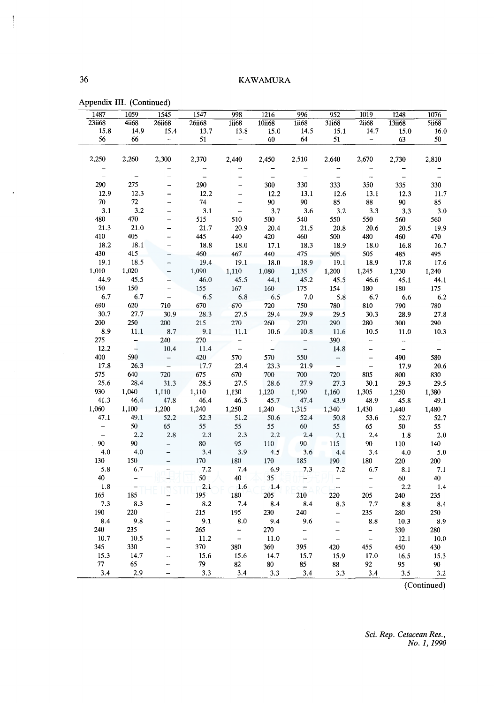| 1487                     | 1059                     | 1545                     | 1547           | 998                      | 1216             | 996                      | 952                      | 1019                     | 1248                     | 1076          |
|--------------------------|--------------------------|--------------------------|----------------|--------------------------|------------------|--------------------------|--------------------------|--------------------------|--------------------------|---------------|
| 23ii68                   | 4ii68                    | <b>26ii68</b>            | <b>26ii68</b>  | 1ii68                    | 10ii68           | 1ii68                    | 31i68                    | 2ii68                    | 13ii68                   | <b>5ii68</b>  |
| 15.8                     | 14.9                     | 15.4                     | 13.7           | 13.8                     | 15.0             | 14.5                     | 15.1                     | 14.7                     | 15.0                     | 16.0          |
| 56                       | 66                       | $\overline{\phantom{a}}$ | 51             | $\overline{\phantom{a}}$ | 60               | 64                       | 51                       | $\overline{\phantom{a}}$ | 63                       | 50            |
| 2,250                    | 2,260                    | 2,300                    | 2,370          | 2,440                    | 2,450            | 2,510                    | 2,640                    | 2,670                    | 2,730                    | 2,810         |
| $\overline{\phantom{0}}$ |                          |                          |                |                          |                  |                          |                          |                          |                          |               |
| $\frac{1}{2}$            | $\overline{a}$           |                          | $\overline{a}$ |                          | $\frac{1}{2}$    | $\equiv$                 | $\overline{\phantom{a}}$ | $\overline{a}$           | $\equiv$                 | $\bar{ }$     |
| 290                      | 275                      |                          | 290            |                          | 300              | 330                      | 333                      | 350                      | 335                      | 330           |
| 12.9                     | 12.3                     |                          | 12.2           |                          | 12.2             | 13.1                     | 12.6                     | 13.1                     | 12.3                     | 11.7          |
| 70                       | 72                       |                          | 74             | $\overline{\phantom{0}}$ | 90               | $90\,$                   | 85                       | $88\,$                   | $90\,$                   | 85            |
| 3.1                      | 3.2                      |                          | 3.1            | $\overline{a}$           | 3.7              | 3.6                      | 3.2                      | 3.3                      | 3.3                      | $3.0\,$       |
| 480                      | 470                      |                          | 515            | 510                      | 500              | 540                      | 550                      | 550                      | 560                      | 560           |
| 21.3                     | $21.0\,$                 |                          | 21.7           | 20.9                     | 20.4             | 21.5                     | 20.8                     | 20.6                     | 20.5                     | 19.9          |
| 410                      | 405                      |                          | 445            | 440                      | 420              | 460                      | 500                      | 480                      | 460                      | 470           |
| 18.2                     | 18.1                     |                          | 18.8           | 18.0                     | 17.1             | 18.3                     | 18.9                     | 18.0                     | 16.8                     | 16.7          |
| 430                      | 415                      |                          | 460            | 467                      | 440              | 475                      | 505                      | 505                      | 485                      | 495           |
| 19.1                     | 18.5                     |                          | 19.4           | 19.1                     | 18.0             | 18.9                     | 19.1                     | 18.9                     | 17.8                     | 17.6          |
| 1,010                    | 1,020                    |                          | 1,090          | 1,110                    | 1,080            | 1,135                    | 1,200                    | 1,245                    | 1,230                    | 1,240         |
| 44.9                     | 45.5                     |                          | 46.0           | 45.5                     | 44.1             | 45.2                     | 45.5                     | 46.6                     | 45.1                     | 44.1          |
| 150                      | 150                      |                          | 155            | 167                      | 160              | 175                      | 154                      | 180                      | 180                      | 175           |
| 6.7                      | 6.7                      | $\overline{\phantom{0}}$ | 6.5            | 6.8                      | 6.5              | 7.0                      | 5.8                      | 6.7                      | 6.6                      | 6.2           |
| 690                      | 620                      | 710                      | 670            | 670                      | 720              | 750                      | 780                      | 810                      | 790                      | 780           |
| 30.7                     | 27.7                     | 30.9                     | 28.3           | 27.5                     | 29.4             | 29.9                     | 29.5                     | 30.3                     | 28.9                     | 27.8          |
| 200                      | 250                      | 200                      | 215            | 270                      | 260              | 270                      | 290                      | 280                      | 300                      | 290           |
| 8.9                      | 11.1                     | 8.7                      | 9.1            | 11.1                     | 10.6             | 10.8                     | 11.6                     | 10.5                     | 11.0                     | 10.3          |
| 275                      | $\frac{1}{2}$            | 240                      | 270            | $\overline{\phantom{a}}$ | $\frac{1}{1}$    | $\overline{\phantom{a}}$ | 390                      | $\overline{\phantom{a}}$ | $\overline{\phantom{a}}$ | $\equiv$      |
| 12.2                     |                          | 10.4                     | 11.4           | $\frac{1}{2}$            |                  | $\frac{1}{2}$            | 14.8                     | $\frac{1}{2}$            | $\overline{a}$           | $\frac{1}{2}$ |
| 400                      | 590                      | $\bar{\mathbb{I}}$       | 420            | 570                      | 570              | 550                      | $\frac{1}{\sqrt{2}}$     | $\overline{\phantom{a}}$ | 490                      | 580           |
| 17.8                     | 26.3                     |                          | 17.7           | 23.4                     | 23.3             | 21.9                     |                          | $\bar{\phantom{a}}$      | 17.9                     | 20.6          |
| 575                      | 640                      | 720                      | 675            | 670                      | 700              | 700                      | 720                      | 805                      | 800                      | 830           |
| 25.6                     | 28.4                     | 31.3                     | 28.5           | 27.5                     | 28.6             | 27.9                     | 27.3                     | 30.1                     | 29.3                     | 29.5          |
| 930                      | 1,040                    | 1,110                    | 1,110          | 1,130                    | 1,120            | 1,190                    | 1,160                    | 1,305                    | 1,250                    | 1,380         |
| 41.3                     | 46.4                     | 47.8                     | 46,4           | 46.3                     | 45.7             | 47.4                     | 43.9                     | 48.9                     | 45.8                     | 49.1          |
| 1,060                    | 1,100                    | 1,200                    | 1,240          | 1,250                    | 1,240            | 1,315                    | 1,340                    | 1,430                    | 1,440                    | 1,480         |
| 47.1                     | 49.1                     | 52.2                     | 52.3           | 51.2                     | 50.6             | 52.4                     | 50.8                     | 53.6                     | 52.7                     | 52.7          |
| $\equiv$                 | 50                       | 65                       | 55             | 55                       | 55               | 60                       | 55                       | 65                       | 50                       | 55            |
| $\perp$                  | 2.2                      | 2.8                      | 2.3            | 2.3                      | 2.2              | 2.4                      | 2.1                      | 2.4                      | 1.8                      | 2.0           |
| 90                       | 90                       | e.                       | $80\,$         | 95                       | $110\,$          | 90                       | 115                      | $90^{\circ}$             | $110\,$                  | 140           |
| 4.0                      | 4.0                      |                          | 3.4            | 3.9                      | 4.5              | 3.6                      | 4.4                      | 3.4                      | 4.0                      | 5.0           |
| 130                      | 150                      |                          | 170            | 180                      | 170              | 185                      | 190                      | 180                      | 220                      | 200           |
| 5.8                      | 6.7                      |                          | 7.2            | 7.4                      | 6.9              | 7.3                      | 7.2                      | 6.7                      | 8.1                      | 7.1           |
| 40                       | $\overline{\phantom{a}}$ |                          | 50             | $40 -$                   | $35\phantom{.0}$ | 非<br>:c=/                | $\equiv$                 | $\rightarrow$            | $60\,$                   | 40            |
| $1.8\,$                  |                          |                          | 2.1            | 1.6                      | $-1.4$           |                          | $\overline{\phantom{a}}$ | $\frac{1}{2}$            | 2.2                      | 1.4           |
| 165                      | 185                      |                          | 195            | 180                      | 205              | 210                      | 220                      | 205                      | 240                      | 235           |
| 7.3                      | 8.3                      |                          | 8.2            | 7.4                      | 8.4              | 8.4                      | 8.3                      | 7.7                      | 8.8                      | $\bf 8.4$     |
| 190                      | 220                      |                          | 215            | 195                      | 230              | 240                      | $\overline{\phantom{0}}$ | 235                      | 280                      | 250           |
| 8.4                      | 9.8                      |                          | 9.1            | 8.0                      | 9.4              | 9.6                      |                          | 8.8                      | 10.3                     | $8.9\,$       |
| 240                      | 235                      |                          | 265            | $\frac{1}{2}$            | 270              |                          | $\overline{\phantom{0}}$ | $\overline{\phantom{0}}$ | 330                      | 280           |
| 10.7                     | 10.5                     |                          | $11.2\,$       | $\bar{\phantom{a}}$      | 11.0             | $\overline{a}$           | $\overline{a}$           | $\overline{a}$           | 12.1                     | $10.0\,$      |
| 345                      | 330                      |                          | 370            | 380                      | 360              | 395                      | 420                      | 455                      | 450                      | 430           |
| 15.3                     | 14.7                     |                          | 15.6           | 15.6                     | 14.7             | 15.7                     | 15.9                     | 17.0                     | 16.5                     | 15.3          |
| 77                       | 65                       |                          | 79             | 82                       | 80               | 85                       | 88                       | 92                       | 95                       | 90            |
| 3.4                      | 2.9                      |                          | 3.3            | 3.4                      | 3.3              | 3.4                      | 3.3                      | 3.4                      | 3.5                      | 3.2           |

Appendix III. (Continued)

(Continued)

*Sci. Rep. Cetacean Res., No. 1, 1990* 

 $\overline{\phantom{a}}$ 

 $\ddot{\phantom{a}}$